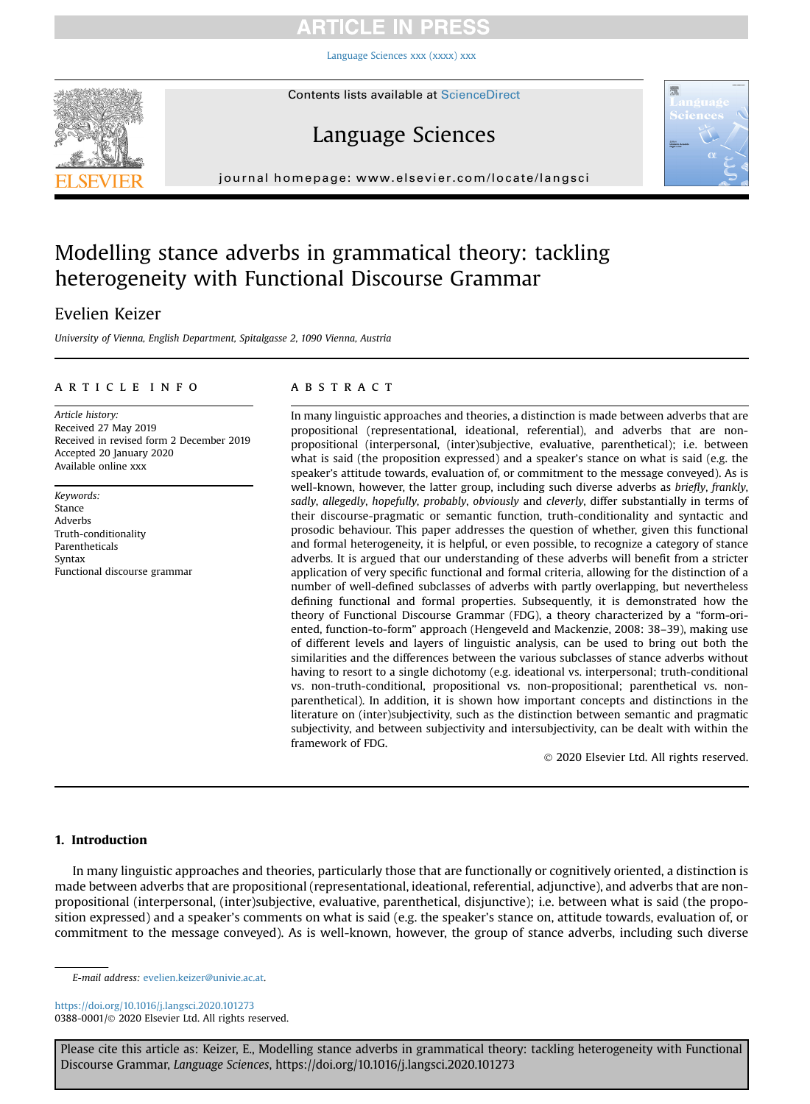# CLE.

[Language Sciences xxx \(xxxx\) xxx](https://doi.org/10.1016/j.langsci.2020.101273)



# Language Sciences



journal homepage: [www.elsevier.com/locate/langsci](http://www.elsevier.com/locate/langcom)

# Modelling stance adverbs in grammatical theory: tackling heterogeneity with Functional Discourse Grammar

### Evelien Keizer

University of Vienna, English Department, Spitalgasse 2, 1090 Vienna, Austria

### article info

Article history: Received 27 May 2019 Received in revised form 2 December 2019 Accepted 20 January 2020 Available online xxx

Keywords: Stance Adverbs Truth-conditionality Parentheticals Syntax Functional discourse grammar

### **ABSTRACT**

In many linguistic approaches and theories, a distinction is made between adverbs that are propositional (representational, ideational, referential), and adverbs that are nonpropositional (interpersonal, (inter)subjective, evaluative, parenthetical); i.e. between what is said (the proposition expressed) and a speaker's stance on what is said (e.g. the speaker's attitude towards, evaluation of, or commitment to the message conveyed). As is well-known, however, the latter group, including such diverse adverbs as briefly, frankly, sadly, allegedly, hopefully, probably, obviously and cleverly, differ substantially in terms of their discourse-pragmatic or semantic function, truth-conditionality and syntactic and prosodic behaviour. This paper addresses the question of whether, given this functional and formal heterogeneity, it is helpful, or even possible, to recognize a category of stance adverbs. It is argued that our understanding of these adverbs will benefit from a stricter application of very specific functional and formal criteria, allowing for the distinction of a number of well-defined subclasses of adverbs with partly overlapping, but nevertheless defining functional and formal properties. Subsequently, it is demonstrated how the theory of Functional Discourse Grammar (FDG), a theory characterized by a "form-oriented, function-to-form" approach (Hengeveld and Mackenzie, 2008: 38–39), making use of different levels and layers of linguistic analysis, can be used to bring out both the similarities and the differences between the various subclasses of stance adverbs without having to resort to a single dichotomy (e.g. ideational vs. interpersonal; truth-conditional vs. non-truth-conditional, propositional vs. non-propositional; parenthetical vs. nonparenthetical). In addition, it is shown how important concepts and distinctions in the literature on (inter)subjectivity, such as the distinction between semantic and pragmatic subjectivity, and between subjectivity and intersubjectivity, can be dealt with within the framework of FDG.

2020 Elsevier Ltd. All rights reserved.

### 1. Introduction

In many linguistic approaches and theories, particularly those that are functionally or cognitively oriented, a distinction is made between adverbs that are propositional (representational, ideational, referential, adjunctive), and adverbs that are nonpropositional (interpersonal, (inter)subjective, evaluative, parenthetical, disjunctive); i.e. between what is said (the proposition expressed) and a speaker's comments on what is said (e.g. the speaker's stance on, attitude towards, evaluation of, or commitment to the message conveyed). As is well-known, however, the group of stance adverbs, including such diverse

E-mail address: [evelien.keizer@univie.ac.at](mailto:evelien.keizer@univie.ac.at).

<https://doi.org/10.1016/j.langsci.2020.101273> 0388-0001/© 2020 Elsevier Ltd. All rights reserved.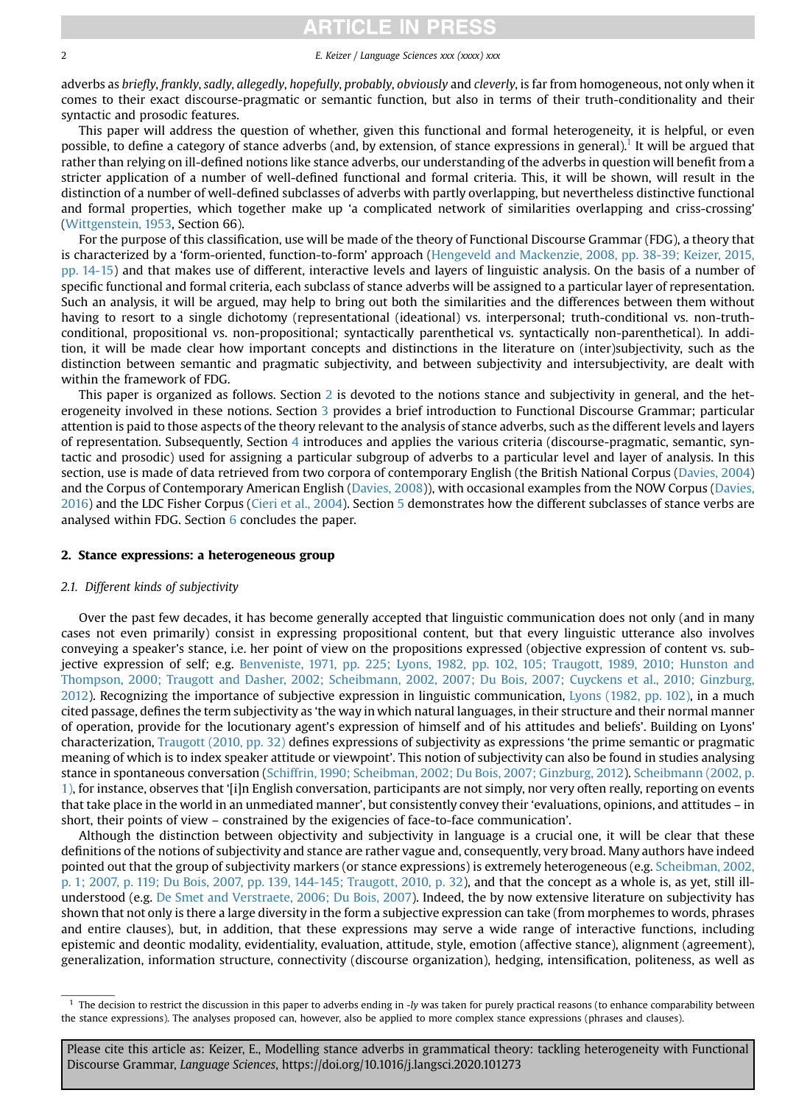### **FICLE IN PRES**

#### <span id="page-1-0"></span>2 E. Keizer / Language Sciences xxx (xxxx) xxx

adverbs as briefly, frankly, sadly, allegedly, hopefully, probably, obviously and cleverly, is far from homogeneous, not only when it comes to their exact discourse-pragmatic or semantic function, but also in terms of their truth-conditionality and their syntactic and prosodic features.

This paper will address the question of whether, given this functional and formal heterogeneity, it is helpful, or even possible, to define a category of stance adverbs (and, by extension, of stance expressions in general).<sup>1</sup> It will be argued that rather than relying on ill-defined notions like stance adverbs, our understanding of the adverbs in question will benefit from a stricter application of a number of well-defined functional and formal criteria. This, it will be shown, will result in the distinction of a number of well-defined subclasses of adverbs with partly overlapping, but nevertheless distinctive functional and formal properties, which together make up 'a complicated network of similarities overlapping and criss-crossing' [\(Wittgenstein, 1953](#page-19-0), Section 66).

For the purpose of this classification, use will be made of the theory of Functional Discourse Grammar (FDG), a theory that is characterized by a 'form-oriented, function-to-form' approach [\(Hengeveld and Mackenzie, 2008, pp. 38-39; Keizer, 2015,](#page-18-0) [pp. 14-15](#page-18-0)) and that makes use of different, interactive levels and layers of linguistic analysis. On the basis of a number of specific functional and formal criteria, each subclass of stance adverbs will be assigned to a particular layer of representation. Such an analysis, it will be argued, may help to bring out both the similarities and the differences between them without having to resort to a single dichotomy (representational (ideational) vs. interpersonal; truth-conditional vs. non-truthconditional, propositional vs. non-propositional; syntactically parenthetical vs. syntactically non-parenthetical). In addition, it will be made clear how important concepts and distinctions in the literature on (inter)subjectivity, such as the distinction between semantic and pragmatic subjectivity, and between subjectivity and intersubjectivity, are dealt with within the framework of FDG.

This paper is organized as follows. Section 2 is devoted to the notions stance and subjectivity in general, and the heterogeneity involved in these notions. Section [3](#page-3-0) provides a brief introduction to Functional Discourse Grammar; particular attention is paid to those aspects of the theory relevant to the analysis of stance adverbs, such as the different levels and layers of representation. Subsequently, Section [4](#page-7-0) introduces and applies the various criteria (discourse-pragmatic, semantic, syntactic and prosodic) used for assigning a particular subgroup of adverbs to a particular level and layer of analysis. In this section, use is made of data retrieved from two corpora of contemporary English (the British National Corpus [\(Davies, 2004](#page-18-0)) and the Corpus of Contemporary American English ([Davies, 2008](#page-18-0))), with occasional examples from the NOW Corpus ([Davies,](#page-18-0) [2016](#page-18-0)) and the LDC Fisher Corpus [\(Cieri et al., 2004](#page-18-0)). Section [5](#page-14-0) demonstrates how the different subclasses of stance verbs are analysed within FDG. Section [6](#page-17-0) concludes the paper.

### 2. Stance expressions: a heterogeneous group

### 2.1. Different kinds of subjectivity

Over the past few decades, it has become generally accepted that linguistic communication does not only (and in many cases not even primarily) consist in expressing propositional content, but that every linguistic utterance also involves conveying a speaker's stance, i.e. her point of view on the propositions expressed (objective expression of content vs. subjective expression of self; e.g. [Benveniste, 1971, pp. 225; Lyons, 1982, pp. 102, 105; Traugott, 1989, 2010; Hunston and](#page-17-0) [Thompson, 2000; Traugott and Dasher, 2002; Scheibmann, 2002, 2007; Du Bois, 2007; Cuyckens et al., 2010; Ginzburg,](#page-17-0) [2012](#page-17-0)). Recognizing the importance of subjective expression in linguistic communication, [Lyons \(1982, pp. 102\)](#page-19-0), in a much cited passage, defines the term subjectivity as 'the way in which natural languages, in their structure and their normal manner of operation, provide for the locutionary agent's expression of himself and of his attitudes and beliefs'. Building on Lyons' characterization, [Traugott \(2010, pp. 32\)](#page-19-0) defines expressions of subjectivity as expressions 'the prime semantic or pragmatic meaning of which is to index speaker attitude or viewpoint'. This notion of subjectivity can also be found in studies analysing stance in spontaneous conversation [\(Schiffrin, 1990; Scheibman, 2002; Du Bois, 2007; Ginzburg, 2012](#page-19-0)). [Scheibmann \(2002, p.](#page-19-0) [1\),](#page-19-0) for instance, observes that '[i]n English conversation, participants are not simply, nor very often really, reporting on events that take place in the world in an unmediated manner', but consistently convey their 'evaluations, opinions, and attitudes – in short, their points of view – constrained by the exigencies of face-to-face communication'.

Although the distinction between objectivity and subjectivity in language is a crucial one, it will be clear that these definitions of the notions of subjectivity and stance are rather vague and, consequently, very broad. Many authors have indeed pointed out that the group of subjectivity markers (or stance expressions) is extremely heterogeneous (e.g. [Scheibman, 2002,](#page-19-0) [p. 1; 2007, p. 119; Du Bois, 2007, pp. 139, 144-145; Traugott, 2010, p. 32](#page-19-0)), and that the concept as a whole is, as yet, still illunderstood (e.g. [De Smet and Verstraete, 2006; Du Bois, 2007\)](#page-18-0). Indeed, the by now extensive literature on subjectivity has shown that not only is there a large diversity in the form a subjective expression can take (from morphemes to words, phrases and entire clauses), but, in addition, that these expressions may serve a wide range of interactive functions, including epistemic and deontic modality, evidentiality, evaluation, attitude, style, emotion (affective stance), alignment (agreement), generalization, information structure, connectivity (discourse organization), hedging, intensification, politeness, as well as

 $<sup>1</sup>$  The decision to restrict the discussion in this paper to adverbs ending in -ly was taken for purely practical reasons (to enhance comparability between</sup> the stance expressions). The analyses proposed can, however, also be applied to more complex stance expressions (phrases and clauses).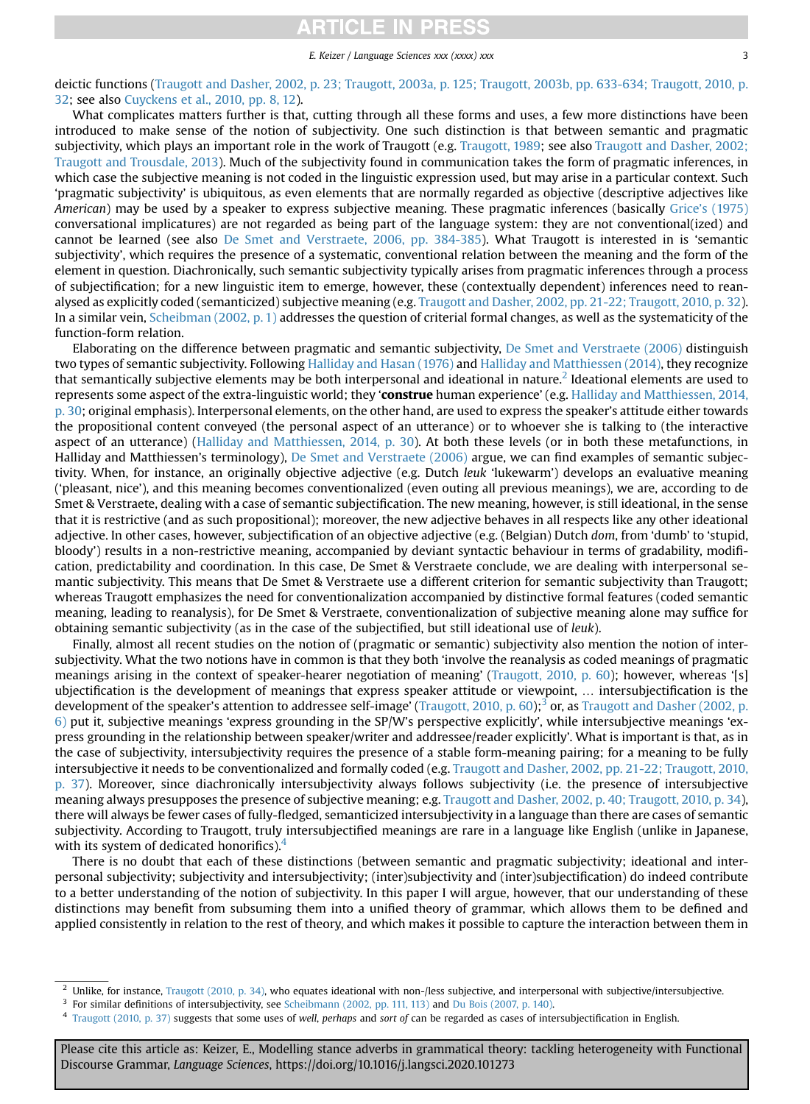### TICLE IN PRES

E. Keizer / Language Sciences xxx (xxxx) xxx 3

deictic functions [\(Traugott and Dasher, 2002, p. 23; Traugott, 2003a, p. 125; Traugott, 2003b, pp. 633-634; Traugott, 2010, p.](#page-19-0) [32](#page-19-0); see also [Cuyckens et al., 2010, pp. 8, 12\)](#page-18-0).

What complicates matters further is that, cutting through all these forms and uses, a few more distinctions have been introduced to make sense of the notion of subjectivity. One such distinction is that between semantic and pragmatic subjectivity, which plays an important role in the work of Traugott (e.g. [Traugott, 1989](#page-19-0); see also [Traugott and Dasher, 2002;](#page-19-0) [Traugott and Trousdale, 2013\)](#page-19-0). Much of the subjectivity found in communication takes the form of pragmatic inferences, in which case the subjective meaning is not coded in the linguistic expression used, but may arise in a particular context. Such 'pragmatic subjectivity' is ubiquitous, as even elements that are normally regarded as objective (descriptive adjectives like American) may be used by a speaker to express subjective meaning. These pragmatic inferences (basically Grice'[s \(1975\)](#page-18-0) conversational implicatures) are not regarded as being part of the language system: they are not conventional(ized) and cannot be learned (see also [De Smet and Verstraete, 2006, pp. 384-385\)](#page-18-0). What Traugott is interested in is 'semantic subjectivity', which requires the presence of a systematic, conventional relation between the meaning and the form of the element in question. Diachronically, such semantic subjectivity typically arises from pragmatic inferences through a process of subjectification; for a new linguistic item to emerge, however, these (contextually dependent) inferences need to reanalysed as explicitly coded (semanticized) subjective meaning (e.g. [Traugott and Dasher, 2002, pp. 21-22; Traugott, 2010, p. 32](#page-19-0)). In a similar vein, [Scheibman \(2002, p. 1\)](#page-19-0) addresses the question of criterial formal changes, as well as the systematicity of the function-form relation.

Elaborating on the difference between pragmatic and semantic subjectivity, [De Smet and Verstraete \(2006\)](#page-18-0) distinguish two types of semantic subjectivity. Following [Halliday and Hasan \(1976\)](#page-18-0) and [Halliday and Matthiessen \(2014\)](#page-18-0), they recognize that semantically subjective elements may be both interpersonal and ideational in nature.<sup>2</sup> Ideational elements are used to represents some aspect of the extra-linguistic world; they 'construe human experience' (e.g. [Halliday and Matthiessen, 2014,](#page-18-0) [p. 30;](#page-18-0) original emphasis). Interpersonal elements, on the other hand, are used to express the speaker's attitude either towards the propositional content conveyed (the personal aspect of an utterance) or to whoever she is talking to (the interactive aspect of an utterance) [\(Halliday and Matthiessen, 2014, p. 30](#page-18-0)). At both these levels (or in both these metafunctions, in Halliday and Matthiessen's terminology), [De Smet and Verstraete \(2006\)](#page-18-0) argue, we can find examples of semantic subjectivity. When, for instance, an originally objective adjective (e.g. Dutch leuk 'lukewarm') develops an evaluative meaning ('pleasant, nice'), and this meaning becomes conventionalized (even outing all previous meanings), we are, according to de Smet & Verstraete, dealing with a case of semantic subjectification. The new meaning, however, is still ideational, in the sense that it is restrictive (and as such propositional); moreover, the new adjective behaves in all respects like any other ideational adjective. In other cases, however, subjectification of an objective adjective (e.g. (Belgian) Dutch dom, from 'dumb' to 'stupid, bloody') results in a non-restrictive meaning, accompanied by deviant syntactic behaviour in terms of gradability, modification, predictability and coordination. In this case, De Smet & Verstraete conclude, we are dealing with interpersonal semantic subjectivity. This means that De Smet & Verstraete use a different criterion for semantic subjectivity than Traugott; whereas Traugott emphasizes the need for conventionalization accompanied by distinctive formal features (coded semantic meaning, leading to reanalysis), for De Smet & Verstraete, conventionalization of subjective meaning alone may suffice for obtaining semantic subjectivity (as in the case of the subjectified, but still ideational use of leuk).

Finally, almost all recent studies on the notion of (pragmatic or semantic) subjectivity also mention the notion of intersubjectivity. What the two notions have in common is that they both 'involve the reanalysis as coded meanings of pragmatic meanings arising in the context of speaker-hearer negotiation of meaning' ([Traugott, 2010, p. 60](#page-19-0)); however, whereas '[s] ubjectification is the development of meanings that express speaker attitude or viewpoint, . intersubjectification is the development of the speaker's attention to addressee self-image' ([Traugott, 2010, p. 60](#page-19-0));<sup>3</sup> or, as [Traugott and Dasher \(2002, p.](#page-19-0) [6\)](#page-19-0) put it, subjective meanings 'express grounding in the SP/W's perspective explicitly', while intersubjective meanings 'express grounding in the relationship between speaker/writer and addressee/reader explicitly'. What is important is that, as in the case of subjectivity, intersubjectivity requires the presence of a stable form-meaning pairing; for a meaning to be fully intersubjective it needs to be conventionalized and formally coded (e.g. [Traugott and Dasher, 2002, pp. 21-22; Traugott, 2010,](#page-19-0) [p. 37](#page-19-0)). Moreover, since diachronically intersubjectivity always follows subjectivity (i.e. the presence of intersubjective meaning always presupposes the presence of subjective meaning; e.g. [Traugott and Dasher, 2002, p. 40; Traugott, 2010, p. 34](#page-19-0)), there will always be fewer cases of fully-fledged, semanticized intersubjectivity in a language than there are cases of semantic subjectivity. According to Traugott, truly intersubjectified meanings are rare in a language like English (unlike in Japanese, with its system of dedicated honorifics).

There is no doubt that each of these distinctions (between semantic and pragmatic subjectivity; ideational and interpersonal subjectivity; subjectivity and intersubjectivity; (inter)subjectivity and (inter)subjectification) do indeed contribute to a better understanding of the notion of subjectivity. In this paper I will argue, however, that our understanding of these distinctions may benefit from subsuming them into a unified theory of grammar, which allows them to be defined and applied consistently in relation to the rest of theory, and which makes it possible to capture the interaction between them in

 $^2$  Unlike, for instance, [Traugott \(2010, p. 34\),](#page-19-0) who equates ideational with non-/less subjective, and interpersonal with subjective/intersubjective.

<sup>&</sup>lt;sup>3</sup> For similar definitions of intersubjectivity, see [Scheibmann \(2002, pp. 111, 113\)](#page-19-0) and [Du Bois \(2007, p. 140\)](#page-18-0).

 $4$  [Traugott \(2010, p. 37\)](#page-19-0) suggests that some uses of well, perhaps and sort of can be regarded as cases of intersubjectification in English.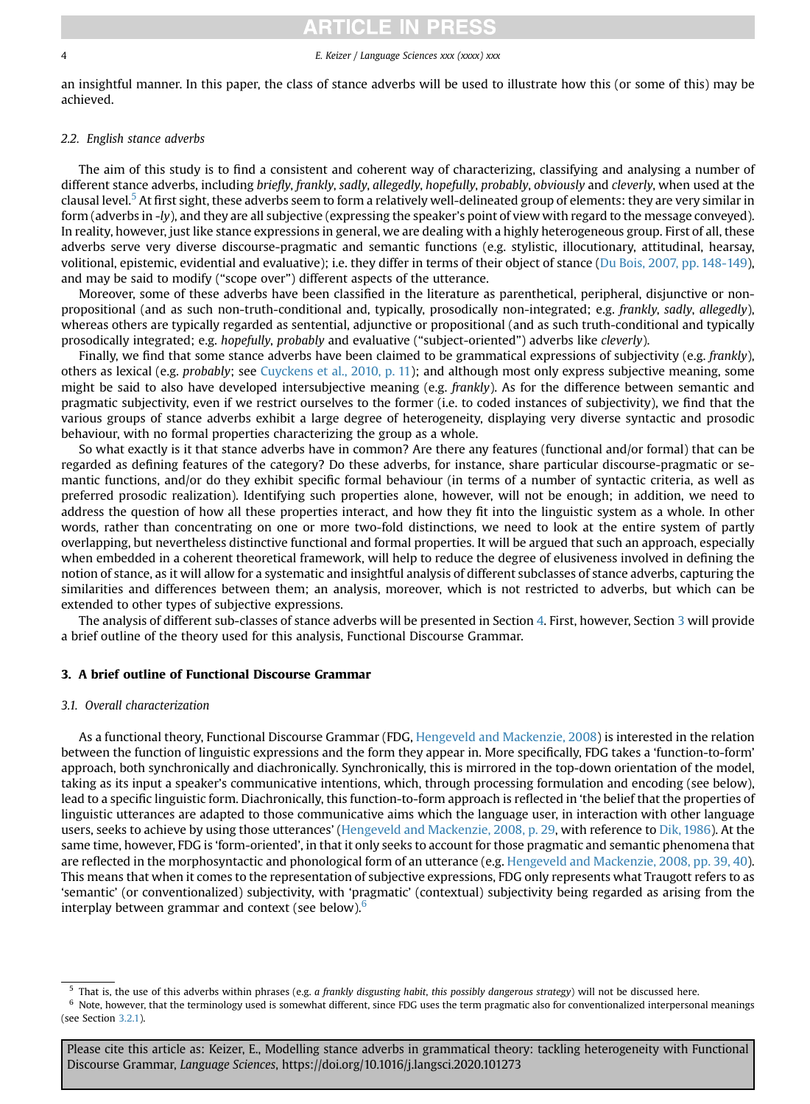### CI E IN.

### 4 E. Keizer / Language Sciences xxx (xxxx) xxx

<span id="page-3-0"></span>an insightful manner. In this paper, the class of stance adverbs will be used to illustrate how this (or some of this) may be achieved.

### 2.2. English stance adverbs

The aim of this study is to find a consistent and coherent way of characterizing, classifying and analysing a number of different stance adverbs, including briefly, frankly, sadly, allegedly, hopefully, probably, obviously and cleverly, when used at the clausal level.<sup>5</sup> At first sight, these adverbs seem to form a relatively well-delineated group of elements: they are very similar in form (adverbs in -ly), and they are all subjective (expressing the speaker's point of view with regard to the message conveyed). In reality, however, just like stance expressions in general, we are dealing with a highly heterogeneous group. First of all, these adverbs serve very diverse discourse-pragmatic and semantic functions (e.g. stylistic, illocutionary, attitudinal, hearsay, volitional, epistemic, evidential and evaluative); i.e. they differ in terms of their object of stance [\(Du Bois, 2007, pp. 148-149](#page-18-0)), and may be said to modify ("scope over") different aspects of the utterance.

Moreover, some of these adverbs have been classified in the literature as parenthetical, peripheral, disjunctive or nonpropositional (and as such non-truth-conditional and, typically, prosodically non-integrated; e.g. frankly, sadly, allegedly), whereas others are typically regarded as sentential, adjunctive or propositional (and as such truth-conditional and typically prosodically integrated; e.g. hopefully, probably and evaluative ("subject-oriented") adverbs like cleverly).

Finally, we find that some stance adverbs have been claimed to be grammatical expressions of subjectivity (e.g. frankly), others as lexical (e.g. probably; see [Cuyckens et al., 2010, p. 11](#page-18-0)); and although most only express subjective meaning, some might be said to also have developed intersubjective meaning (e.g. frankly). As for the difference between semantic and pragmatic subjectivity, even if we restrict ourselves to the former (i.e. to coded instances of subjectivity), we find that the various groups of stance adverbs exhibit a large degree of heterogeneity, displaying very diverse syntactic and prosodic behaviour, with no formal properties characterizing the group as a whole.

So what exactly is it that stance adverbs have in common? Are there any features (functional and/or formal) that can be regarded as defining features of the category? Do these adverbs, for instance, share particular discourse-pragmatic or semantic functions, and/or do they exhibit specific formal behaviour (in terms of a number of syntactic criteria, as well as preferred prosodic realization). Identifying such properties alone, however, will not be enough; in addition, we need to address the question of how all these properties interact, and how they fit into the linguistic system as a whole. In other words, rather than concentrating on one or more two-fold distinctions, we need to look at the entire system of partly overlapping, but nevertheless distinctive functional and formal properties. It will be argued that such an approach, especially when embedded in a coherent theoretical framework, will help to reduce the degree of elusiveness involved in defining the notion of stance, as it will allow for a systematic and insightful analysis of different subclasses of stance adverbs, capturing the similarities and differences between them; an analysis, moreover, which is not restricted to adverbs, but which can be extended to other types of subjective expressions.

The analysis of different sub-classes of stance adverbs will be presented in Section [4.](#page-7-0) First, however, Section 3 will provide a brief outline of the theory used for this analysis, Functional Discourse Grammar.

### 3. A brief outline of Functional Discourse Grammar

#### 3.1. Overall characterization

As a functional theory, Functional Discourse Grammar (FDG, [Hengeveld and Mackenzie, 2008](#page-18-0)) is interested in the relation between the function of linguistic expressions and the form they appear in. More specifically, FDG takes a 'function-to-form' approach, both synchronically and diachronically. Synchronically, this is mirrored in the top-down orientation of the model, taking as its input a speaker's communicative intentions, which, through processing formulation and encoding (see below), lead to a specific linguistic form. Diachronically, this function-to-form approach is reflected in 'the belief that the properties of linguistic utterances are adapted to those communicative aims which the language user, in interaction with other language users, seeks to achieve by using those utterances' ([Hengeveld and Mackenzie, 2008, p. 29](#page-18-0), with reference to [Dik, 1986\)](#page-18-0). At the same time, however, FDG is 'form-oriented', in that it only seeks to account for those pragmatic and semantic phenomena that are reflected in the morphosyntactic and phonological form of an utterance (e.g. [Hengeveld and Mackenzie, 2008, pp. 39, 40](#page-18-0)). This means that when it comes to the representation of subjective expressions, FDG only represents what Traugott refers to as 'semantic' (or conventionalized) subjectivity, with 'pragmatic' (contextual) subjectivity being regarded as arising from the interplay between grammar and context (see below). $6$ 

That is, the use of this adverbs within phrases (e.g. a frankly disgusting habit, this possibly dangerous strategy) will not be discussed here.  $<sup>6</sup>$  Note, however, that the terminology used is somewhat different, since FDG uses the term pragmatic also for conventionalized interpersonal meanings</sup> (see Section [3.2.1\)](#page-4-0).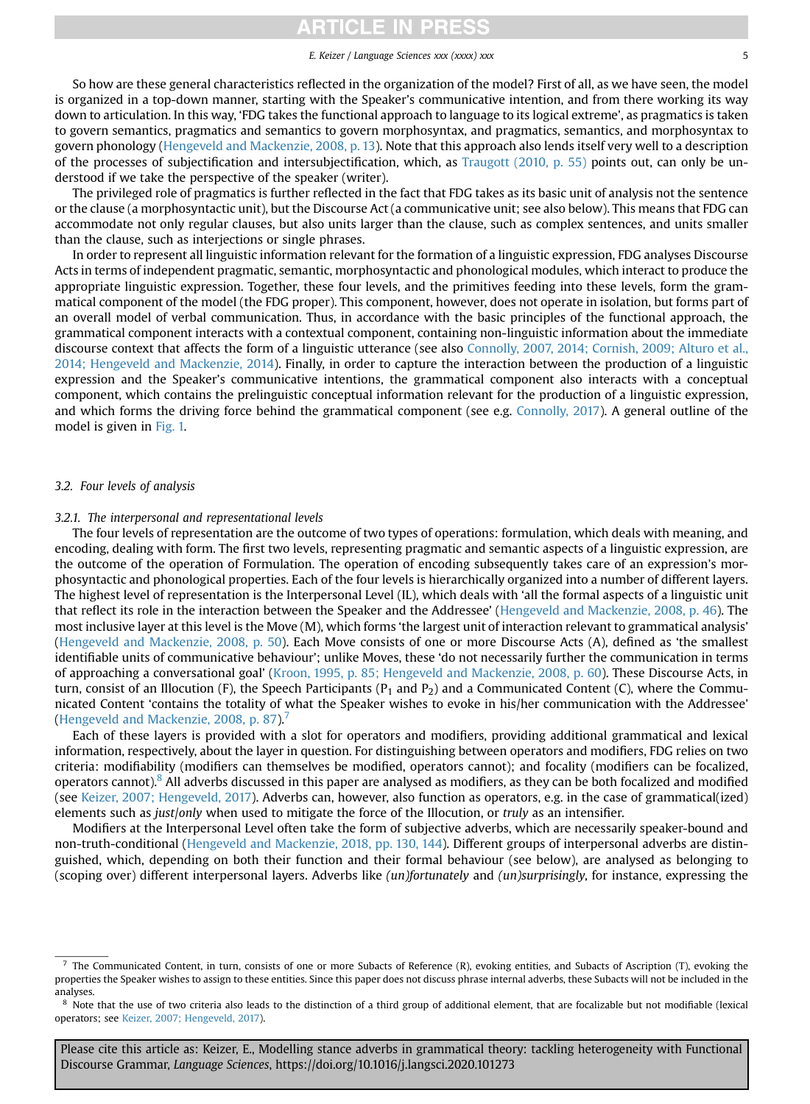## ICLE IN PRES

### E. Keizer / Language Sciences xxx (xxxx) xxx 5

<span id="page-4-0"></span>So how are these general characteristics reflected in the organization of the model? First of all, as we have seen, the model is organized in a top-down manner, starting with the Speaker's communicative intention, and from there working its way down to articulation. In this way, 'FDG takes the functional approach to language to its logical extreme', as pragmatics is taken to govern semantics, pragmatics and semantics to govern morphosyntax, and pragmatics, semantics, and morphosyntax to govern phonology ([Hengeveld and Mackenzie, 2008, p. 13](#page-18-0)). Note that this approach also lends itself very well to a description of the processes of subjectification and intersubjectification, which, as [Traugott \(2010, p. 55\)](#page-19-0) points out, can only be understood if we take the perspective of the speaker (writer).

The privileged role of pragmatics is further reflected in the fact that FDG takes as its basic unit of analysis not the sentence or the clause (a morphosyntactic unit), but the Discourse Act (a communicative unit; see also below). This means that FDG can accommodate not only regular clauses, but also units larger than the clause, such as complex sentences, and units smaller than the clause, such as interjections or single phrases.

In order to represent all linguistic information relevant for the formation of a linguistic expression, FDG analyses Discourse Acts in terms of independent pragmatic, semantic, morphosyntactic and phonological modules, which interact to produce the appropriate linguistic expression. Together, these four levels, and the primitives feeding into these levels, form the grammatical component of the model (the FDG proper). This component, however, does not operate in isolation, but forms part of an overall model of verbal communication. Thus, in accordance with the basic principles of the functional approach, the grammatical component interacts with a contextual component, containing non-linguistic information about the immediate discourse context that affects the form of a linguistic utterance (see also [Connolly, 2007, 2014; Cornish, 2009; Alturo et al.,](#page-18-0) [2014; Hengeveld and Mackenzie, 2014](#page-18-0)). Finally, in order to capture the interaction between the production of a linguistic expression and the Speaker's communicative intentions, the grammatical component also interacts with a conceptual component, which contains the prelinguistic conceptual information relevant for the production of a linguistic expression, and which forms the driving force behind the grammatical component (see e.g. [Connolly, 2017](#page-18-0)). A general outline of the model is given in [Fig. 1.](#page-5-0)

### 3.2. Four levels of analysis

### 3.2.1. The interpersonal and representational levels

The four levels of representation are the outcome of two types of operations: formulation, which deals with meaning, and encoding, dealing with form. The first two levels, representing pragmatic and semantic aspects of a linguistic expression, are the outcome of the operation of Formulation. The operation of encoding subsequently takes care of an expression's morphosyntactic and phonological properties. Each of the four levels is hierarchically organized into a number of different layers. The highest level of representation is the Interpersonal Level (IL), which deals with 'all the formal aspects of a linguistic unit that reflect its role in the interaction between the Speaker and the Addressee' [\(Hengeveld and Mackenzie, 2008, p. 46\)](#page-18-0). The most inclusive layer at this level is the Move (M), which forms 'the largest unit of interaction relevant to grammatical analysis' ([Hengeveld and Mackenzie, 2008, p. 50](#page-18-0)). Each Move consists of one or more Discourse Acts (A), defined as 'the smallest identifiable units of communicative behaviour'; unlike Moves, these 'do not necessarily further the communication in terms of approaching a conversational goal' ([Kroon, 1995, p. 85; Hengeveld and Mackenzie, 2008, p. 60](#page-18-0)). These Discourse Acts, in turn, consist of an Illocution (F), the Speech Participants ( $P_1$  and  $P_2$ ) and a Communicated Content (C), where the Communicated Content 'contains the totality of what the Speaker wishes to evoke in his/her communication with the Addressee' ([Hengeveld and Mackenzie, 2008, p. 87](#page-18-0)).

Each of these layers is provided with a slot for operators and modifiers, providing additional grammatical and lexical information, respectively, about the layer in question. For distinguishing between operators and modifiers, FDG relies on two criteria: modifiability (modifiers can themselves be modified, operators cannot); and focality (modifiers can be focalized, operators cannot).<sup>8</sup> All adverbs discussed in this paper are analysed as modifiers, as they can be both focalized and modified (see [Keizer, 2007; Hengeveld, 2017](#page-18-0)). Adverbs can, however, also function as operators, e.g. in the case of grammatical(ized) elements such as just/only when used to mitigate the force of the Illocution, or truly as an intensifier.

Modifiers at the Interpersonal Level often take the form of subjective adverbs, which are necessarily speaker-bound and non-truth-conditional ([Hengeveld and Mackenzie, 2018, pp. 130, 144](#page-18-0)). Different groups of interpersonal adverbs are distinguished, which, depending on both their function and their formal behaviour (see below), are analysed as belonging to (scoping over) different interpersonal layers. Adverbs like (un)fortunately and (un)surprisingly, for instance, expressing the

The Communicated Content, in turn, consists of one or more Subacts of Reference (R), evoking entities, and Subacts of Ascription (T), evoking the properties the Speaker wishes to assign to these entities. Since this paper does not discuss phrase internal adverbs, these Subacts will not be included in the analyses.

 $8$  Note that the use of two criteria also leads to the distinction of a third group of additional element, that are focalizable but not modifiable (lexical operators; see [Keizer, 2007; Hengeveld, 2017\)](#page-18-0).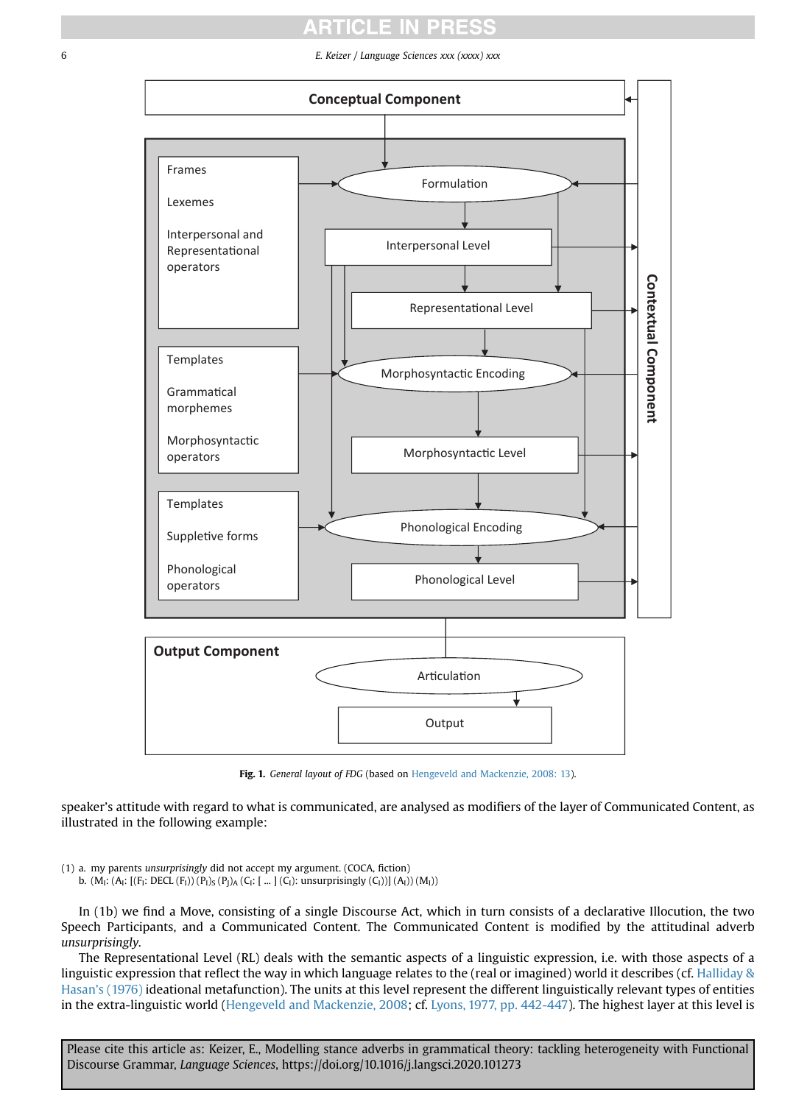# **TICLE IN PRES**

6 E. Keizer / Language Sciences xxx (xxxx) xxx

<span id="page-5-0"></span>

Fig. 1. General layout of FDG (based on [Hengeveld and Mackenzie, 2008: 13\)](#page-18-0).

speaker's attitude with regard to what is communicated, are analysed as modifiers of the layer of Communicated Content, as illustrated in the following example:

(1) a. my parents unsurprisingly did not accept my argument. (COCA, fiction)

b.  $(M_1: (A_1: [(F_1: DECL (F_1)) (P_1)_S (P_1)_A (C_1: [\dots] (C_1):$  unsurprisingly  $(C_1))] (A_1) (M_1)$ 

In (1b) we find a Move, consisting of a single Discourse Act, which in turn consists of a declarative Illocution, the two Speech Participants, and a Communicated Content. The Communicated Content is modified by the attitudinal adverb unsurprisingly.

The Representational Level (RL) deals with the semantic aspects of a linguistic expression, i.e. with those aspects of a linguistic expression that reflect the way in which language relates to the (real or imagined) world it describes (cf. [Halliday &](#page-18-0) Hasan'[s \(1976\)](#page-18-0) ideational metafunction). The units at this level represent the different linguistically relevant types of entities in the extra-linguistic world ([Hengeveld and Mackenzie, 2008](#page-18-0); cf. [Lyons, 1977, pp. 442-447\)](#page-19-0). The highest layer at this level is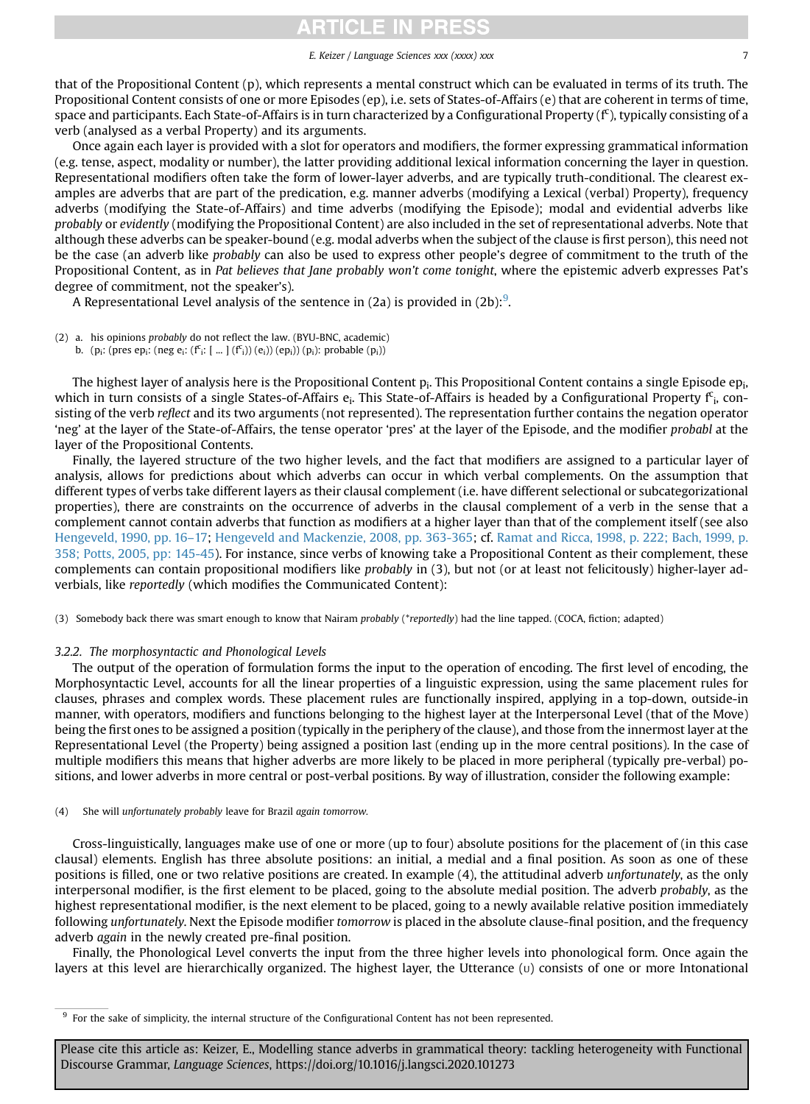# ICI E IN PRES

### E. Keizer / Language Sciences xxx (xxxx) xxx 7

<span id="page-6-0"></span>that of the Propositional Content (p), which represents a mental construct which can be evaluated in terms of its truth. The Propositional Content consists of one or more Episodes (ep), i.e. sets of States-of-Affairs (e) that are coherent in terms of time, space and participants. Each State-of-Affairs is in turn characterized by a Configurational Property (f<sup>c</sup>), typically consisting of a verb (analysed as a verbal Property) and its arguments.

Once again each layer is provided with a slot for operators and modifiers, the former expressing grammatical information (e.g. tense, aspect, modality or number), the latter providing additional lexical information concerning the layer in question. Representational modifiers often take the form of lower-layer adverbs, and are typically truth-conditional. The clearest examples are adverbs that are part of the predication, e.g. manner adverbs (modifying a Lexical (verbal) Property), frequency adverbs (modifying the State-of-Affairs) and time adverbs (modifying the Episode); modal and evidential adverbs like probably or evidently (modifying the Propositional Content) are also included in the set of representational adverbs. Note that although these adverbs can be speaker-bound (e.g. modal adverbs when the subject of the clause is first person), this need not be the case (an adverb like probably can also be used to express other people's degree of commitment to the truth of the Propositional Content, as in Pat believes that Jane probably won't come tonight, where the epistemic adverb expresses Pat's degree of commitment, not the speaker's).

A Representational Level analysis of the sentence in (2a) is provided in (2b):<sup>9</sup>.

The highest layer of analysis here is the Propositional Content  $p_i$ . This Propositional Content contains a single Episode ep $_i$ which in turn consists of a single States-of-Affairs  $e_i$ . This State-of-Affairs is headed by a Configurational Property  $f^c{}_i$ , consisting of the verb reflect and its two arguments (not represented). The representation further contains the negation operator 'neg' at the layer of the State-of-Affairs, the tense operator 'pres' at the layer of the Episode, and the modifier probabl at the layer of the Propositional Contents.

Finally, the layered structure of the two higher levels, and the fact that modifiers are assigned to a particular layer of analysis, allows for predictions about which adverbs can occur in which verbal complements. On the assumption that different types of verbs take different layers as their clausal complement (i.e. have different selectional or subcategorizational properties), there are constraints on the occurrence of adverbs in the clausal complement of a verb in the sense that a complement cannot contain adverbs that function as modifiers at a higher layer than that of the complement itself (see also [Hengeveld, 1990, pp. 16](#page-18-0)–17; [Hengeveld and Mackenzie, 2008, pp. 363-365;](#page-18-0) cf. [Ramat and Ricca, 1998, p. 222; Bach, 1999, p.](#page-19-0) [358; Potts, 2005, pp: 145-45](#page-19-0)). For instance, since verbs of knowing take a Propositional Content as their complement, these complements can contain propositional modifiers like probably in (3), but not (or at least not felicitously) higher-layer adverbials, like reportedly (which modifies the Communicated Content):

(3) Somebody back there was smart enough to know that Nairam probably (\*reportedly) had the line tapped. (COCA, fiction; adapted)

### 3.2.2. The morphosyntactic and Phonological Levels

The output of the operation of formulation forms the input to the operation of encoding. The first level of encoding, the Morphosyntactic Level, accounts for all the linear properties of a linguistic expression, using the same placement rules for clauses, phrases and complex words. These placement rules are functionally inspired, applying in a top-down, outside-in manner, with operators, modifiers and functions belonging to the highest layer at the Interpersonal Level (that of the Move) being the first ones to be assigned a position (typically in the periphery of the clause), and those from the innermost layer at the Representational Level (the Property) being assigned a position last (ending up in the more central positions). In the case of multiple modifiers this means that higher adverbs are more likely to be placed in more peripheral (typically pre-verbal) positions, and lower adverbs in more central or post-verbal positions. By way of illustration, consider the following example:

### (4) She will unfortunately probably leave for Brazil again tomorrow.

Cross-linguistically, languages make use of one or more (up to four) absolute positions for the placement of (in this case clausal) elements. English has three absolute positions: an initial, a medial and a final position. As soon as one of these positions is filled, one or two relative positions are created. In example (4), the attitudinal adverb unfortunately, as the only interpersonal modifier, is the first element to be placed, going to the absolute medial position. The adverb probably, as the highest representational modifier, is the next element to be placed, going to a newly available relative position immediately following unfortunately. Next the Episode modifier tomorrow is placed in the absolute clause-final position, and the frequency adverb again in the newly created pre-final position.

Finally, the Phonological Level converts the input from the three higher levels into phonological form. Once again the layers at this level are hierarchically organized. The highest layer, the Utterance (u) consists of one or more Intonational

<sup>(2)</sup> a. his opinions probably do not reflect the law. (BYU-BNC, academic)

b. (p<sub>i</sub>: (pres ep<sub>i</sub>: (neg e<sub>i</sub>: (f<sup>c</sup><sub>i</sub>: [ ... ] (f<sup>c</sup><sub>i</sub>)) (e<sub>i</sub>)) (ep<sub>i</sub>)) (p<sub>i</sub>): probable (p<sub>i</sub>))

<sup>&</sup>lt;sup>9</sup> For the sake of simplicity, the internal structure of the Configurational Content has not been represented.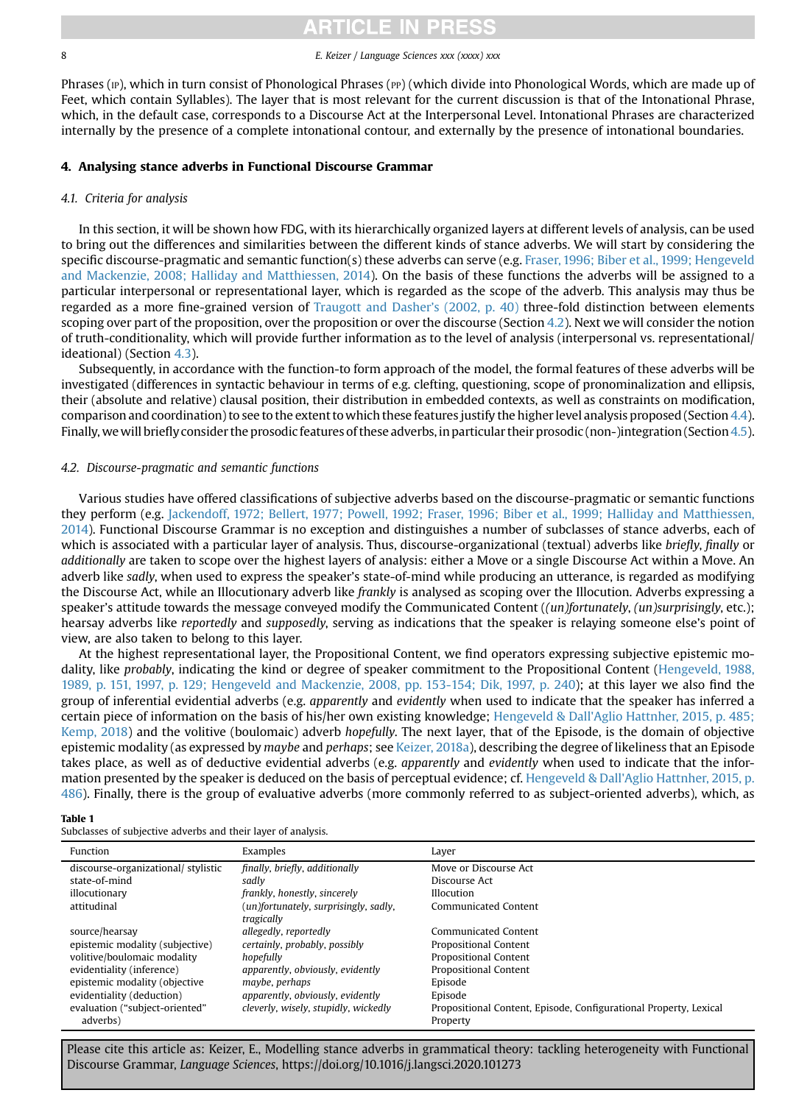## CI E IN

### <span id="page-7-0"></span>8 **B.** Keizer / Language Sciences xxx (xxxx) xxx

Phrases (<sub>IP</sub>), which in turn consist of Phonological Phrases (<sub>PP</sub>) (which divide into Phonological Words, which are made up of Feet, which contain Syllables). The layer that is most relevant for the current discussion is that of the Intonational Phrase, which, in the default case, corresponds to a Discourse Act at the Interpersonal Level. Intonational Phrases are characterized internally by the presence of a complete intonational contour, and externally by the presence of intonational boundaries.

### 4. Analysing stance adverbs in Functional Discourse Grammar

### 4.1. Criteria for analysis

In this section, it will be shown how FDG, with its hierarchically organized layers at different levels of analysis, can be used to bring out the differences and similarities between the different kinds of stance adverbs. We will start by considering the specific discourse-pragmatic and semantic function(s) these adverbs can serve (e.g. [Fraser, 1996; Biber et al., 1999; Hengeveld](#page-18-0) [and Mackenzie, 2008; Halliday and Matthiessen, 2014](#page-18-0)). On the basis of these functions the adverbs will be assigned to a particular interpersonal or representational layer, which is regarded as the scope of the adverb. This analysis may thus be regarded as a more fine-grained version of [Traugott and Dasher](#page-19-0)'s (2002, p. 40) three-fold distinction between elements scoping over part of the proposition, over the proposition or over the discourse (Section 4.2). Next we will consider the notion of truth-conditionality, which will provide further information as to the level of analysis (interpersonal vs. representational/ ideational) (Section [4.3\)](#page-8-0).

Subsequently, in accordance with the function-to form approach of the model, the formal features of these adverbs will be investigated (differences in syntactic behaviour in terms of e.g. clefting, questioning, scope of pronominalization and ellipsis, their (absolute and relative) clausal position, their distribution in embedded contexts, as well as constraints on modification, comparison and coordination) to see to the extent to which these features justify the higher level analysis proposed (Section [4.4\)](#page-10-0). Finally, we will briefly consider the prosodic features of these adverbs, in particular their prosodic (non-)integration (Section [4.5\)](#page-13-0).

### 4.2. Discourse-pragmatic and semantic functions

Various studies have offered classifications of subjective adverbs based on the discourse-pragmatic or semantic functions they perform (e.g. [Jackendoff, 1972; Bellert, 1977; Powell, 1992; Fraser, 1996; Biber et al., 1999; Halliday and Matthiessen,](#page-18-0) [2014](#page-18-0)). Functional Discourse Grammar is no exception and distinguishes a number of subclasses of stance adverbs, each of which is associated with a particular layer of analysis. Thus, discourse-organizational (textual) adverbs like briefly, finally or additionally are taken to scope over the highest layers of analysis: either a Move or a single Discourse Act within a Move. An adverb like sadly, when used to express the speaker's state-of-mind while producing an utterance, is regarded as modifying the Discourse Act, while an Illocutionary adverb like frankly is analysed as scoping over the Illocution. Adverbs expressing a speaker's attitude towards the message conveyed modify the Communicated Content ((un)fortunately, (un)surprisingly, etc.); hearsay adverbs like reportedly and supposedly, serving as indications that the speaker is relaying someone else's point of view, are also taken to belong to this layer.

At the highest representational layer, the Propositional Content, we find operators expressing subjective epistemic modality, like probably, indicating the kind or degree of speaker commitment to the Propositional Content ([Hengeveld, 1988,](#page-18-0) [1989, p. 151, 1997, p. 129; Hengeveld and Mackenzie, 2008, pp. 153-154; Dik, 1997, p. 240\)](#page-18-0); at this layer we also find the group of inferential evidential adverbs (e.g. apparently and evidently when used to indicate that the speaker has inferred a certain piece of information on the basis of his/her own existing knowledge; [Hengeveld & Dall'Aglio Hattnher, 2015, p. 485;](#page-18-0) [Kemp, 2018](#page-18-0)) and the volitive (boulomaic) adverb hopefully. The next layer, that of the Episode, is the domain of objective epistemic modality (as expressed by maybe and perhaps; see [Keizer, 2018a](#page-18-0)), describing the degree of likeliness that an Episode takes place, as well as of deductive evidential adverbs (e.g. apparently and evidently when used to indicate that the information presented by the speaker is deduced on the basis of perceptual evidence; cf. [Hengeveld & Dall'Aglio Hattnher, 2015, p.](#page-18-0) [486](#page-18-0)). Finally, there is the group of evaluative adverbs (more commonly referred to as subject-oriented adverbs), which, as

### Table 1

Subclasses of subjective adverbs and their layer of analysis.

| Function                            | Examples                              | Layer                                                             |
|-------------------------------------|---------------------------------------|-------------------------------------------------------------------|
| discourse-organizational/ stylistic | finally, briefly, additionally        | Move or Discourse Act                                             |
| state-of-mind                       | sadly                                 | Discourse Act                                                     |
| illocutionary                       | frankly, honestly, sincerely          | <b>Illocution</b>                                                 |
| attitudinal                         | (un)fortunately, surprisingly, sadly, | Communicated Content                                              |
|                                     | tragically                            |                                                                   |
| source/hearsay                      | allegedly, reportedly                 | Communicated Content                                              |
| epistemic modality (subjective)     | certainly, probably, possibly         | <b>Propositional Content</b>                                      |
| volitive/boulomaic modality         | hopefully                             | <b>Propositional Content</b>                                      |
| evidentiality (inference)           | apparently, obviously, evidently      | <b>Propositional Content</b>                                      |
| epistemic modality (objective       | maybe, perhaps                        | Episode                                                           |
| evidentiality (deduction)           | apparently, obviously, evidently      | Episode                                                           |
| evaluation ("subject-oriented"      | cleverly, wisely, stupidly, wickedly  | Propositional Content, Episode, Configurational Property, Lexical |
| adverbs)                            |                                       | Property                                                          |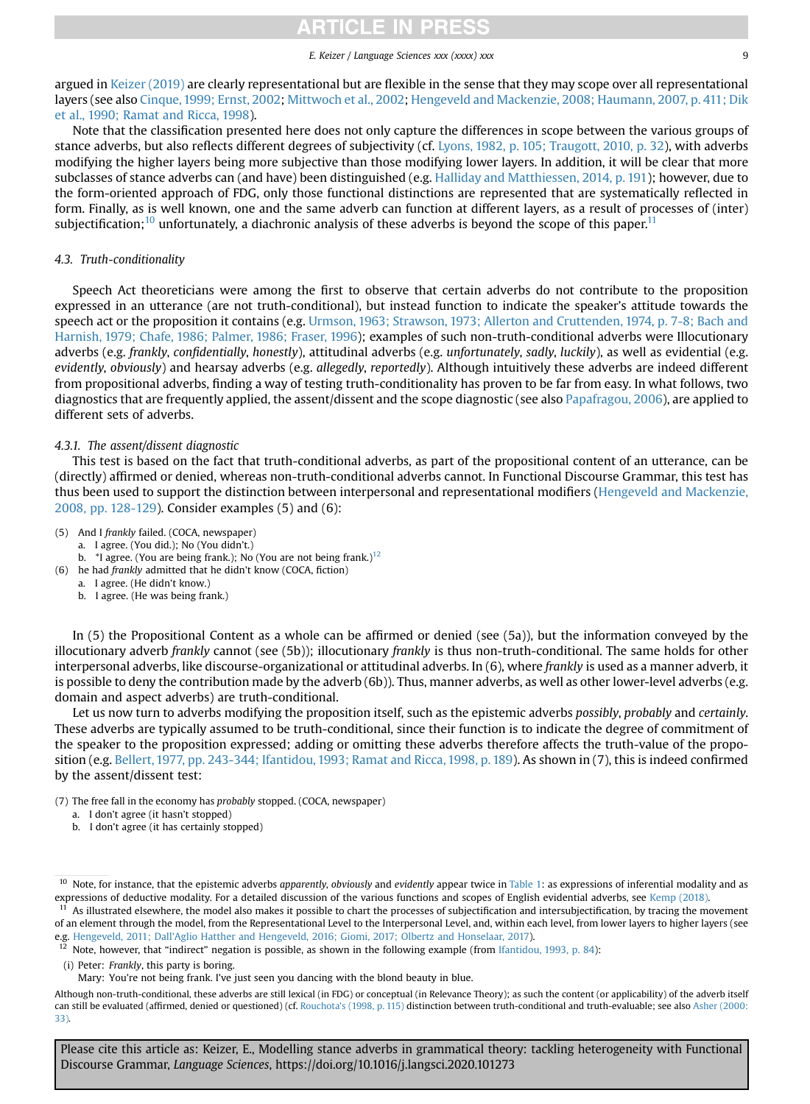# ICI E IN PRES

E. Keizer / Language Sciences xxx (xxxx) xxx 9

<span id="page-8-0"></span>argued in [Keizer \(2019\)](#page-18-0) are clearly representational but are flexible in the sense that they may scope over all representational layers (see also [Cinque, 1999; Ernst, 2002;](#page-18-0) [Mittwoch et al., 2002;](#page-19-0) [Hengeveld and Mackenzie, 2008; Haumann, 2007, p. 411; Dik](#page-18-0) [et al., 1990; Ramat and Ricca, 1998\)](#page-18-0).

Note that the classification presented here does not only capture the differences in scope between the various groups of stance adverbs, but also reflects different degrees of subjectivity (cf. [Lyons, 1982, p. 105; Traugott, 2010, p. 32\)](#page-19-0), with adverbs modifying the higher layers being more subjective than those modifying lower layers. In addition, it will be clear that more subclasses of stance adverbs can (and have) been distinguished (e.g. [Halliday and Matthiessen, 2014, p. 191](#page-18-0)); however, due to the form-oriented approach of FDG, only those functional distinctions are represented that are systematically reflected in form. Finally, as is well known, one and the same adverb can function at different layers, as a result of processes of (inter) subjectification;<sup>10</sup> unfortunately, a diachronic analysis of these adverbs is beyond the scope of this paper.<sup>11</sup>

### 4.3. Truth-conditionality

Speech Act theoreticians were among the first to observe that certain adverbs do not contribute to the proposition expressed in an utterance (are not truth-conditional), but instead function to indicate the speaker's attitude towards the speech act or the proposition it contains (e.g. [Urmson, 1963; Strawson, 1973; Allerton and Cruttenden, 1974, p. 7-8; Bach and](#page-19-0) [Harnish, 1979; Chafe, 1986; Palmer, 1986; Fraser, 1996](#page-19-0)); examples of such non-truth-conditional adverbs were Illocutionary adverbs (e.g. frankly, confidentially, honestly), attitudinal adverbs (e.g. unfortunately, sadly, luckily), as well as evidential (e.g. evidently, obviously) and hearsay adverbs (e.g. allegedly, reportedly). Although intuitively these adverbs are indeed different from propositional adverbs, finding a way of testing truth-conditionality has proven to be far from easy. In what follows, two diagnostics that are frequently applied, the assent/dissent and the scope diagnostic (see also [Papafragou, 2006](#page-19-0)), are applied to different sets of adverbs.

### 4.3.1. The assent/dissent diagnostic

This test is based on the fact that truth-conditional adverbs, as part of the propositional content of an utterance, can be (directly) affirmed or denied, whereas non-truth-conditional adverbs cannot. In Functional Discourse Grammar, this test has thus been used to support the distinction between interpersonal and representational modifiers [\(Hengeveld and Mackenzie,](#page-18-0) [2008, pp. 128-129](#page-18-0)). Consider examples (5) and (6):

- (5) And I frankly failed. (COCA, newspaper) a. I agree. (You did.); No (You didn't.)
	- b.  $*$ I agree. (You are being frank.); No (You are not being frank.)<sup>12</sup>
- (6) he had frankly admitted that he didn't know (COCA, fiction)
	- a. I agree. (He didn't know.)
		- b. I agree. (He was being frank.)

In (5) the Propositional Content as a whole can be affirmed or denied (see (5a)), but the information conveyed by the illocutionary adverb frankly cannot (see (5b)); illocutionary frankly is thus non-truth-conditional. The same holds for other interpersonal adverbs, like discourse-organizational or attitudinal adverbs. In (6), where frankly is used as a manner adverb, it is possible to deny the contribution made by the adverb (6b)). Thus, manner adverbs, as well as other lower-level adverbs (e.g. domain and aspect adverbs) are truth-conditional.

Let us now turn to adverbs modifying the proposition itself, such as the epistemic adverbs possibly, probably and certainly. These adverbs are typically assumed to be truth-conditional, since their function is to indicate the degree of commitment of the speaker to the proposition expressed; adding or omitting these adverbs therefore affects the truth-value of the proposition (e.g. [Bellert, 1977, pp. 243-344; Ifantidou, 1993; Ramat and Ricca, 1998, p. 189\)](#page-17-0). As shown in (7), this is indeed confirmed by the assent/dissent test:

- a. I don't agree (it hasn't stopped)
- b. I don't agree (it has certainly stopped)

(i) Peter: Frankly, this party is boring.

Although non-truth-conditional, these adverbs are still lexical (in FDG) or conceptual (in Relevance Theory); as such the content (or applicability) of the adverb itself can still be evaluated (affirmed, denied or questioned) (cf. Rouchota'[s \(1998, p. 115\)](#page-19-0) distinction between truth-conditional and truth-evaluable; see also [Asher \(2000:](#page-17-0) [33\)](#page-17-0).

<sup>(7)</sup> The free fall in the economy has probably stopped. (COCA, newspaper)

<sup>&</sup>lt;sup>10</sup> Note, for instance, that the epistemic adverbs apparently, obviously and evidently appear twice in [Table 1](#page-7-0): as expressions of inferential modality and as expressions of deductive modality. For a detailed discussion of the various functions and scopes of English evidential adverbs, see [Kemp \(2018\)](#page-18-0).

<sup>&</sup>lt;sup>11</sup> As illustrated elsewhere, the model also makes it possible to chart the processes of subjectification and intersubjectification, by tracing the movement of an element through the model, from the Representational Level to the Interpersonal Level, and, within each level, from lower layers to higher layers (see e.g. [Hengeveld, 2011; Dall'Aglio Hatther and Hengeveld, 2016; Giomi, 2017; Olbertz and Honselaar, 2017\)](#page-18-0).<br><sup>12</sup> Note however that "indigore" accessive inclusional Mengeveld, 2016; Giomi, 2017; Olbertz and Honselaar, 2017).

<sup>12</sup> Note, however, that "indirect" negation is possible, as shown in the following example (from [Ifantidou, 1993, p. 84\)](#page-18-0):

Mary: You're not being frank. I've just seen you dancing with the blond beauty in blue.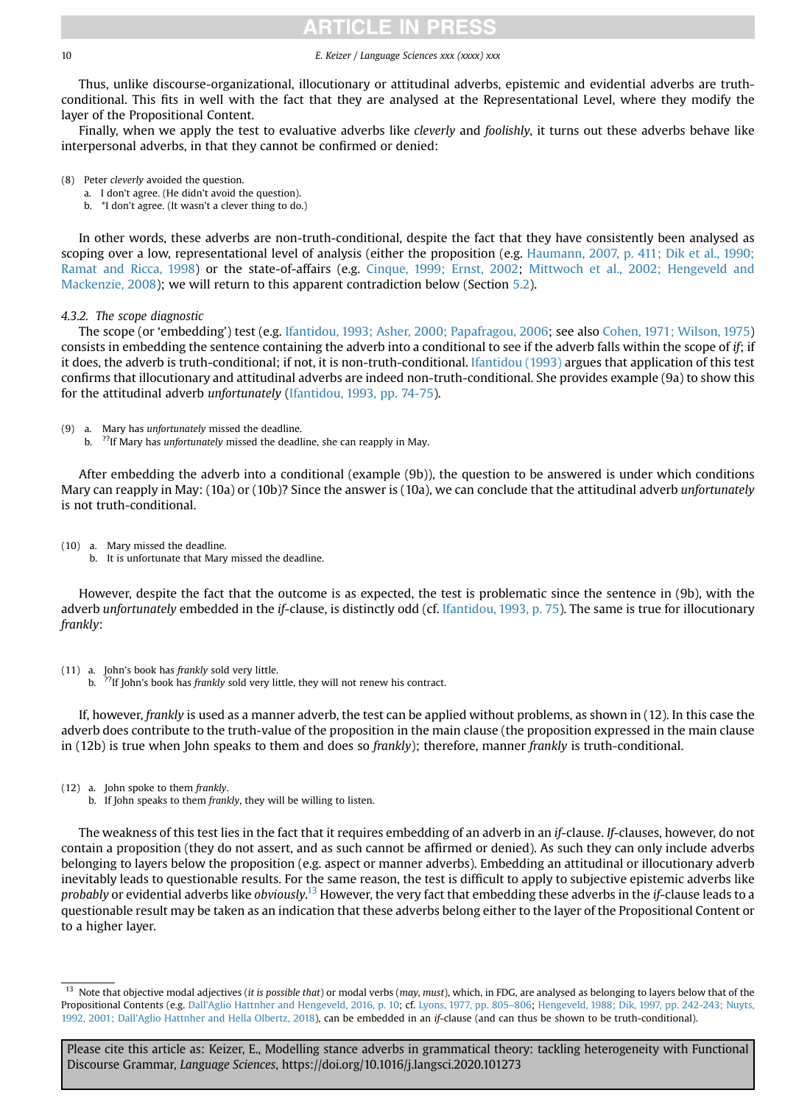# CI E IN.

### 10 E. Keizer / Language Sciences xxx (xxxx) xxx

Thus, unlike discourse-organizational, illocutionary or attitudinal adverbs, epistemic and evidential adverbs are truthconditional. This fits in well with the fact that they are analysed at the Representational Level, where they modify the layer of the Propositional Content.

Finally, when we apply the test to evaluative adverbs like *cleverly* and foolishly, it turns out these adverbs behave like interpersonal adverbs, in that they cannot be confirmed or denied:

- (8) Peter cleverly avoided the question.
	- a. I don't agree. (He didn't avoid the question).
	- b. \*I don't agree. (It wasn't a clever thing to do.)

In other words, these adverbs are non-truth-conditional, despite the fact that they have consistently been analysed as scoping over a low, representational level of analysis (either the proposition (e.g. [Haumann, 2007, p. 411; Dik et al., 1990;](#page-18-0) [Ramat and Ricca, 1998](#page-18-0)) or the state-of-affairs (e.g. [Cinque, 1999; Ernst, 2002;](#page-18-0) [Mittwoch et al., 2002; Hengeveld and](#page-19-0) [Mackenzie, 2008](#page-19-0)); we will return to this apparent contradiction below (Section [5.2](#page-15-0)).

### 4.3.2. The scope diagnostic

The scope (or 'embedding') test (e.g. [Ifantidou, 1993; Asher, 2000; Papafragou, 2006;](#page-18-0) see also [Cohen, 1971; Wilson, 1975](#page-18-0)) consists in embedding the sentence containing the adverb into a conditional to see if the adverb falls within the scope of if; if it does, the adverb is truth-conditional; if not, it is non-truth-conditional. [Ifantidou \(1993\)](#page-18-0) argues that application of this test confirms that illocutionary and attitudinal adverbs are indeed non-truth-conditional. She provides example (9a) to show this for the attitudinal adverb unfortunately ([Ifantidou, 1993, pp. 74-75\)](#page-18-0).

- (9) a. Mary has unfortunately missed the deadline.
	- b. <sup>??</sup>If Mary has *unfortunately* missed the deadline, she can reapply in May.

After embedding the adverb into a conditional (example (9b)), the question to be answered is under which conditions Mary can reapply in May: (10a) or (10b)? Since the answer is (10a), we can conclude that the attitudinal adverb unfortunately is not truth-conditional.

- (10) a. Mary missed the deadline.
	- b. It is unfortunate that Mary missed the deadline.

However, despite the fact that the outcome is as expected, the test is problematic since the sentence in (9b), with the adverb unfortunately embedded in the if-clause, is distinctly odd (cf. [Ifantidou, 1993, p. 75](#page-18-0)). The same is true for illocutionary frankly:

- 
- (11) a. John's book has *frankly* sold very little.<br>b. <sup>77</sup>If John's book has *frankly* sold very little, they will not renew his contract.

If, however, frankly is used as a manner adverb, the test can be applied without problems, as shown in (12). In this case the adverb does contribute to the truth-value of the proposition in the main clause (the proposition expressed in the main clause in (12b) is true when John speaks to them and does so frankly); therefore, manner frankly is truth-conditional.

(12) a. John spoke to them frankly.

b. If John speaks to them frankly, they will be willing to listen.

The weakness of this test lies in the fact that it requires embedding of an adverb in an if-clause. If-clauses, however, do not contain a proposition (they do not assert, and as such cannot be affirmed or denied). As such they can only include adverbs belonging to layers below the proposition (e.g. aspect or manner adverbs). Embedding an attitudinal or illocutionary adverb inevitably leads to questionable results. For the same reason, the test is difficult to apply to subjective epistemic adverbs like *probably* or evidential adverbs like o*bviously.<sup>13</sup> However, the very fact that embedding these adverbs in the if-clause leads to a* questionable result may be taken as an indication that these adverbs belong either to the layer of the Propositional Content or to a higher layer.

<sup>&</sup>lt;sup>13</sup> Note that objective modal adjectives (it is possible that) or modal verbs (may, must), which, in FDG, are analysed as belonging to layers below that of the Propositional Contents (e.g. [Dall'Aglio Hattnher and Hengeveld, 2016, p. 10](#page-18-0); cf. [Lyons, 1977, pp. 805](#page-19-0)–806; [Hengeveld, 1988; Dik, 1997, pp. 242-243; Nuyts,](#page-18-0) 1992, 2001; Dall'[Aglio Hattnher and Hella Olbertz, 2018\)](#page-18-0), can be embedded in an if-clause (and can thus be shown to be truth-conditional).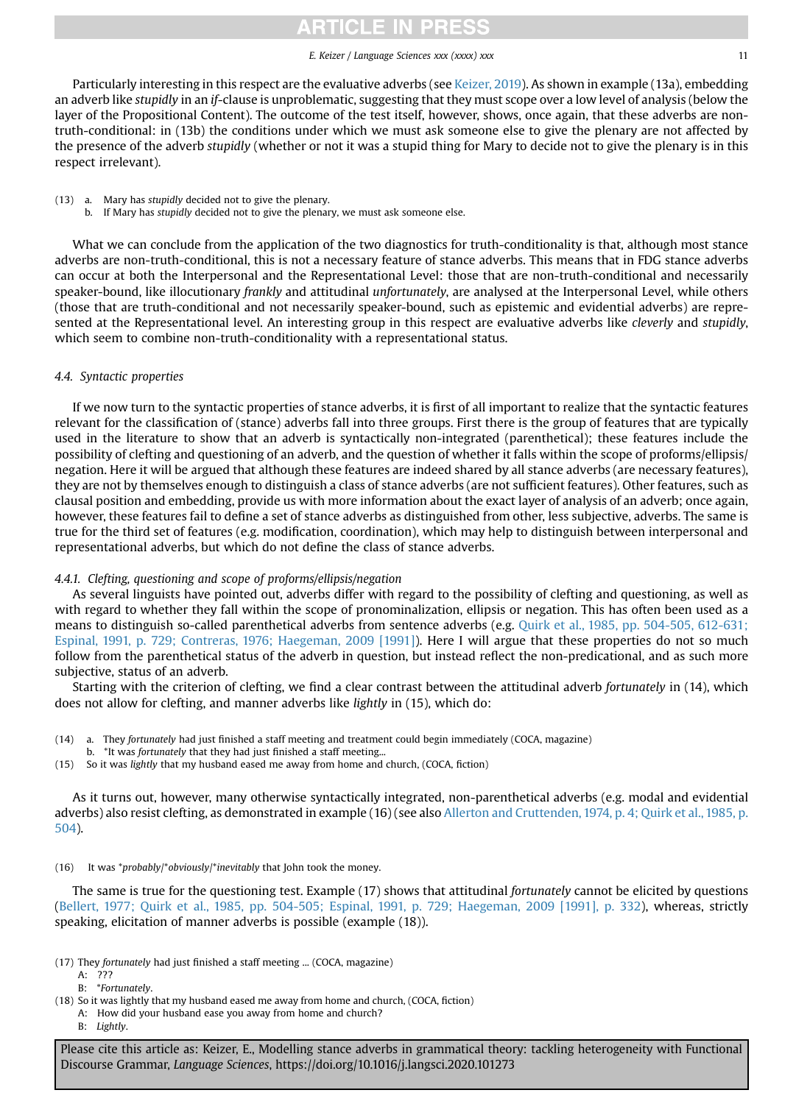# CLE IN PRES

### E. Keizer / Language Sciences xxx (xxxx) xxx 11

<span id="page-10-0"></span>Particularly interesting in this respect are the evaluative adverbs (see [Keizer, 2019\)](#page-18-0). As shown in example (13a), embedding an adverb like *stupidly* in an *if*-clause is unproblematic, suggesting that they must scope over a low level of analysis (below the layer of the Propositional Content). The outcome of the test itself, however, shows, once again, that these adverbs are nontruth-conditional: in (13b) the conditions under which we must ask someone else to give the plenary are not affected by the presence of the adverb stupidly (whether or not it was a stupid thing for Mary to decide not to give the plenary is in this respect irrelevant).

- (13) a. Mary has stupidly decided not to give the plenary.
	- b. If Mary has stupidly decided not to give the plenary, we must ask someone else.

What we can conclude from the application of the two diagnostics for truth-conditionality is that, although most stance adverbs are non-truth-conditional, this is not a necessary feature of stance adverbs. This means that in FDG stance adverbs can occur at both the Interpersonal and the Representational Level: those that are non-truth-conditional and necessarily speaker-bound, like illocutionary frankly and attitudinal unfortunately, are analysed at the Interpersonal Level, while others (those that are truth-conditional and not necessarily speaker-bound, such as epistemic and evidential adverbs) are represented at the Representational level. An interesting group in this respect are evaluative adverbs like cleverly and stupidly, which seem to combine non-truth-conditionality with a representational status.

### 4.4. Syntactic properties

If we now turn to the syntactic properties of stance adverbs, it is first of all important to realize that the syntactic features relevant for the classification of (stance) adverbs fall into three groups. First there is the group of features that are typically used in the literature to show that an adverb is syntactically non-integrated (parenthetical); these features include the possibility of clefting and questioning of an adverb, and the question of whether it falls within the scope of proforms/ellipsis/ negation. Here it will be argued that although these features are indeed shared by all stance adverbs (are necessary features), they are not by themselves enough to distinguish a class of stance adverbs (are not sufficient features). Other features, such as clausal position and embedding, provide us with more information about the exact layer of analysis of an adverb; once again, however, these features fail to define a set of stance adverbs as distinguished from other, less subjective, adverbs. The same is true for the third set of features (e.g. modification, coordination), which may help to distinguish between interpersonal and representational adverbs, but which do not define the class of stance adverbs.

### 4.4.1. Clefting, questioning and scope of proforms/ellipsis/negation

As several linguists have pointed out, adverbs differ with regard to the possibility of clefting and questioning, as well as with regard to whether they fall within the scope of pronominalization, ellipsis or negation. This has often been used as a means to distinguish so-called parenthetical adverbs from sentence adverbs (e.g. [Quirk et al., 1985, pp. 504-505, 612-631;](#page-19-0) [Espinal, 1991, p. 729; Contreras, 1976; Haegeman, 2009 \[1991\]](#page-19-0)). Here I will argue that these properties do not so much follow from the parenthetical status of the adverb in question, but instead reflect the non-predicational, and as such more subjective, status of an adverb.

Starting with the criterion of clefting, we find a clear contrast between the attitudinal adverb fortunately in (14), which does not allow for clefting, and manner adverbs like lightly in (15), which do:

- (14) a. They fortunately had just finished a staff meeting and treatment could begin immediately (COCA, magazine)
- b. \*It was fortunately that they had just finished a staff meeting...

(15) So it was lightly that my husband eased me away from home and church, (COCA, fiction)

As it turns out, however, many otherwise syntactically integrated, non-parenthetical adverbs (e.g. modal and evidential adverbs) also resist clefting, as demonstrated in example (16) (see also [Allerton and Cruttenden, 1974, p. 4; Quirk et al., 1985, p.](#page-17-0) [504](#page-17-0)).

### (16) It was \*probably/\*obviously/\*inevitably that John took the money.

The same is true for the questioning test. Example (17) shows that attitudinal fortunately cannot be elicited by questions ([Bellert, 1977; Quirk et al., 1985, pp. 504-505; Espinal, 1991, p. 729; Haegeman, 2009 \[1991\], p. 332\)](#page-17-0), whereas, strictly speaking, elicitation of manner adverbs is possible (example (18)).

(17) They fortunately had just finished a staff meeting ... (COCA, magazine)

A: ??? B: \*Fortunately.

A: How did your husband ease you away from home and church?

B: Lightly.

<sup>(18)</sup> So it was lightly that my husband eased me away from home and church, (COCA, fiction)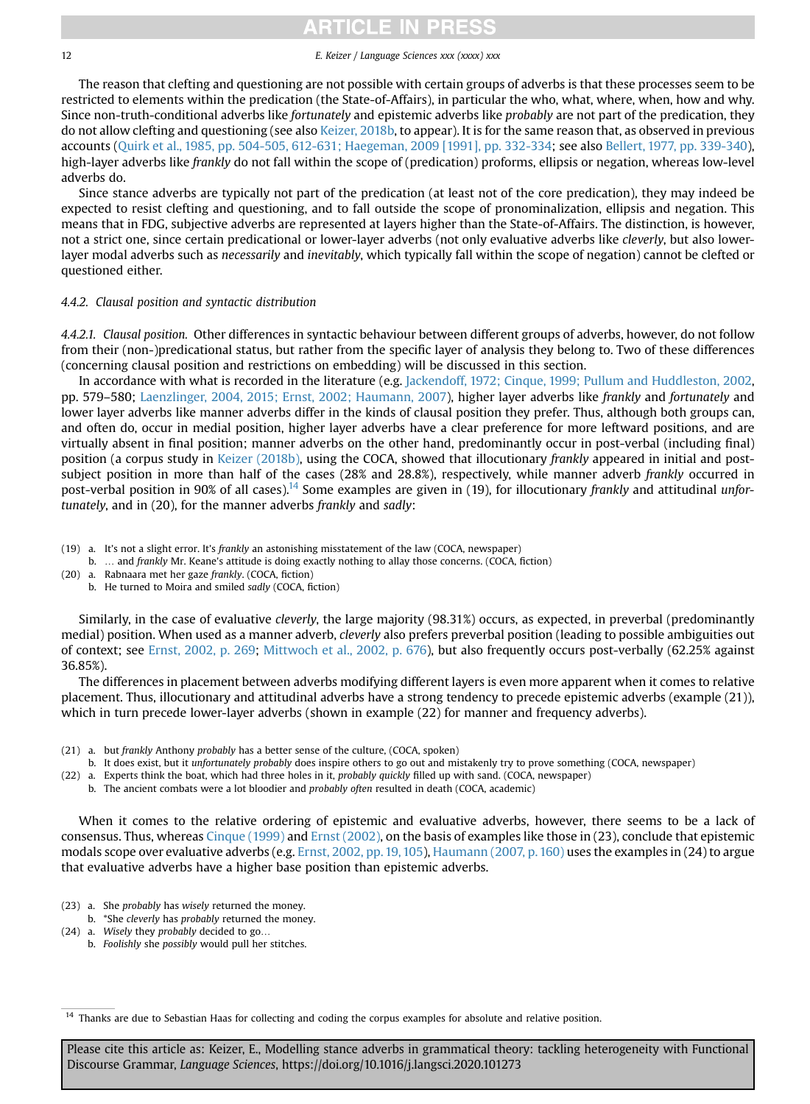## $CI$  F IN PRF!

### <span id="page-11-0"></span>12 E. Keizer / Language Sciences xxx (xxxx) xxx

The reason that clefting and questioning are not possible with certain groups of adverbs is that these processes seem to be restricted to elements within the predication (the State-of-Affairs), in particular the who, what, where, when, how and why. Since non-truth-conditional adverbs like fortunately and epistemic adverbs like probably are not part of the predication, they do not allow clefting and questioning (see also [Keizer, 2018b](#page-18-0), to appear). It is for the same reason that, as observed in previous accounts [\(Quirk et al., 1985, pp. 504-505, 612-631; Haegeman, 2009 \[1991\], pp. 332-334;](#page-19-0) see also [Bellert, 1977, pp. 339-340](#page-17-0)), high-layer adverbs like frankly do not fall within the scope of (predication) proforms, ellipsis or negation, whereas low-level adverbs do.

Since stance adverbs are typically not part of the predication (at least not of the core predication), they may indeed be expected to resist clefting and questioning, and to fall outside the scope of pronominalization, ellipsis and negation. This means that in FDG, subjective adverbs are represented at layers higher than the State-of-Affairs. The distinction, is however, not a strict one, since certain predicational or lower-layer adverbs (not only evaluative adverbs like cleverly, but also lowerlayer modal adverbs such as necessarily and inevitably, which typically fall within the scope of negation) cannot be clefted or questioned either.

### 4.4.2. Clausal position and syntactic distribution

4.4.2.1. Clausal position. Other differences in syntactic behaviour between different groups of adverbs, however, do not follow from their (non-)predicational status, but rather from the specific layer of analysis they belong to. Two of these differences (concerning clausal position and restrictions on embedding) will be discussed in this section.

In accordance with what is recorded in the literature (e.g. [Jackendoff, 1972; Cinque, 1999; Pullum and Huddleston, 2002](#page-18-0), pp. 579–580; [Laenzlinger, 2004, 2015; Ernst, 2002; Haumann, 2007](#page-18-0)), higher layer adverbs like frankly and fortunately and lower layer adverbs like manner adverbs differ in the kinds of clausal position they prefer. Thus, although both groups can, and often do, occur in medial position, higher layer adverbs have a clear preference for more leftward positions, and are virtually absent in final position; manner adverbs on the other hand, predominantly occur in post-verbal (including final) position (a corpus study in [Keizer \(2018b\)](#page-18-0), using the COCA, showed that illocutionary frankly appeared in initial and postsubject position in more than half of the cases (28% and 28.8%), respectively, while manner adverb frankly occurred in post-verbal position in 90% of all cases).<sup>14</sup> Some examples are given in (19), for illocutionary frankly and attitudinal *unfor*tunately, and in (20), for the manner adverbs frankly and sadly:

(19) a. It's not a slight error. It's frankly an astonishing misstatement of the law (COCA, newspaper)

- b. ... and frankly Mr. Keane's attitude is doing exactly nothing to allay those concerns. (COCA, fiction)
- (20) a. Rabnaara met her gaze frankly. (COCA, fiction)
	- b. He turned to Moira and smiled sadly (COCA, fiction)

Similarly, in the case of evaluative cleverly, the large majority (98.31%) occurs, as expected, in preverbal (predominantly medial) position. When used as a manner adverb, cleverly also prefers preverbal position (leading to possible ambiguities out of context; see [Ernst, 2002, p. 269;](#page-18-0) [Mittwoch et al., 2002, p. 676\)](#page-19-0), but also frequently occurs post-verbally (62.25% against 36.85%).

The differences in placement between adverbs modifying different layers is even more apparent when it comes to relative placement. Thus, illocutionary and attitudinal adverbs have a strong tendency to precede epistemic adverbs (example (21)), which in turn precede lower-layer adverbs (shown in example (22) for manner and frequency adverbs).

(21) a. but frankly Anthony probably has a better sense of the culture, (COCA, spoken)

- b. It does exist, but it unfortunately probably does inspire others to go out and mistakenly try to prove something (COCA, newspaper)
- (22) a. Experts think the boat, which had three holes in it, probably quickly filled up with sand. (COCA, newspaper)
	- b. The ancient combats were a lot bloodier and probably often resulted in death (COCA, academic)

When it comes to the relative ordering of epistemic and evaluative adverbs, however, there seems to be a lack of consensus. Thus, whereas [Cinque \(1999\)](#page-18-0) and [Ernst \(2002\),](#page-18-0) on the basis of examples like those in (23), conclude that epistemic modals scope over evaluative adverbs (e.g. [Ernst, 2002, pp. 19, 105](#page-18-0)), [Haumann \(2007, p. 160\)](#page-18-0) uses the examples in (24) to argue that evaluative adverbs have a higher base position than epistemic adverbs.

- (23) a. She probably has wisely returned the money.
	- b. \*She cleverly has probably returned the money.
- (24) a. Wisely they probably decided to go...
	- b. Foolishly she possibly would pull her stitches.

<sup>&</sup>lt;sup>14</sup> Thanks are due to Sebastian Haas for collecting and coding the corpus examples for absolute and relative position.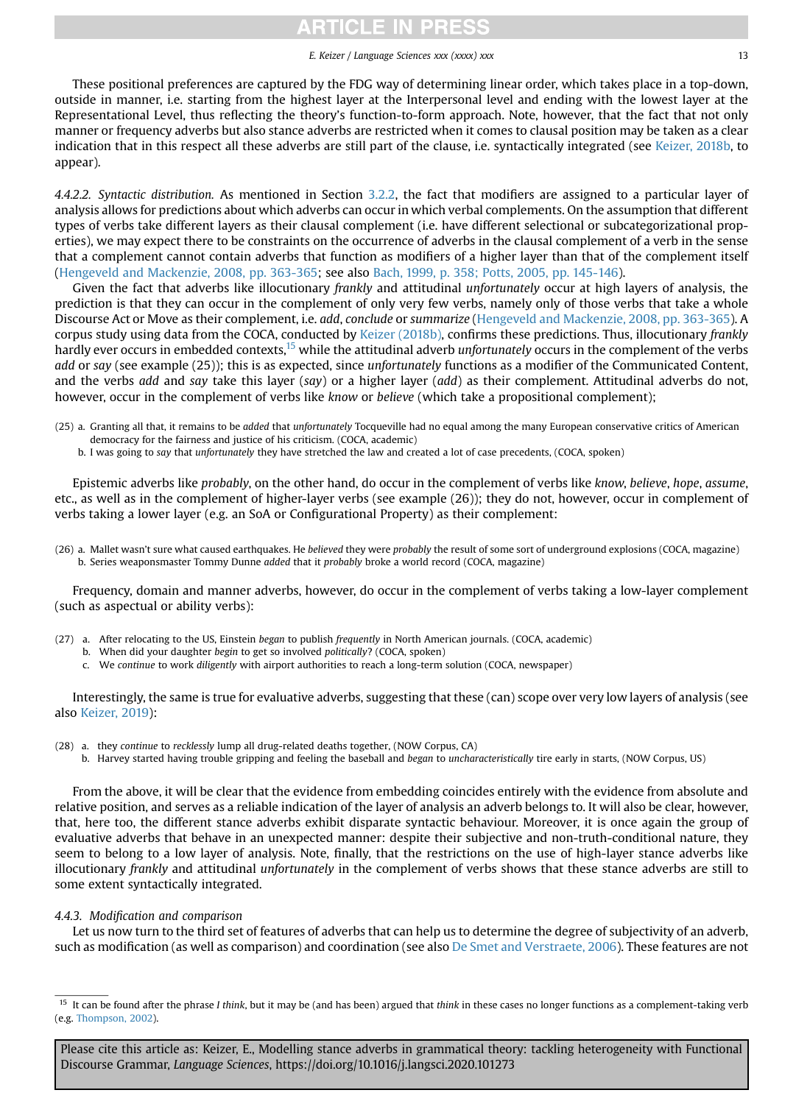# ICI E IN PRES

### E. Keizer / Language Sciences xxx (xxxx) xxx 13

<span id="page-12-0"></span>These positional preferences are captured by the FDG way of determining linear order, which takes place in a top-down, outside in manner, i.e. starting from the highest layer at the Interpersonal level and ending with the lowest layer at the Representational Level, thus reflecting the theory's function-to-form approach. Note, however, that the fact that not only manner or frequency adverbs but also stance adverbs are restricted when it comes to clausal position may be taken as a clear indication that in this respect all these adverbs are still part of the clause, i.e. syntactically integrated (see [Keizer, 2018b](#page-18-0), to appear).

4.4.2.2. Syntactic distribution. As mentioned in Section [3.2.2,](#page-6-0) the fact that modifiers are assigned to a particular layer of analysis allows for predictions about which adverbs can occur in which verbal complements. On the assumption that different types of verbs take different layers as their clausal complement (i.e. have different selectional or subcategorizational properties), we may expect there to be constraints on the occurrence of adverbs in the clausal complement of a verb in the sense that a complement cannot contain adverbs that function as modifiers of a higher layer than that of the complement itself ([Hengeveld and Mackenzie, 2008, pp. 363-365;](#page-18-0) see also [Bach, 1999, p. 358; Potts, 2005, pp. 145-146\)](#page-17-0).

Given the fact that adverbs like illocutionary frankly and attitudinal unfortunately occur at high layers of analysis, the prediction is that they can occur in the complement of only very few verbs, namely only of those verbs that take a whole Discourse Act or Move as their complement, i.e. add, conclude or summarize ([Hengeveld and Mackenzie, 2008, pp. 363-365\)](#page-18-0). A corpus study using data from the COCA, conducted by [Keizer \(2018b\),](#page-18-0) confirms these predictions. Thus, illocutionary frankly hardly ever occurs in embedded contexts,<sup>15</sup> while the attitudinal adverb *unfortunately* occurs in the complement of the verbs add or say (see example (25)); this is as expected, since unfortunately functions as a modifier of the Communicated Content, and the verbs add and say take this layer (say) or a higher layer (add) as their complement. Attitudinal adverbs do not, however, occur in the complement of verbs like know or believe (which take a propositional complement);

- (25) a. Granting all that, it remains to be added that unfortunately Tocqueville had no equal among the many European conservative critics of American democracy for the fairness and justice of his criticism. (COCA, academic)
	- b. I was going to say that unfortunately they have stretched the law and created a lot of case precedents, (COCA, spoken)

Epistemic adverbs like probably, on the other hand, do occur in the complement of verbs like know, believe, hope, assume, etc., as well as in the complement of higher-layer verbs (see example (26)); they do not, however, occur in complement of verbs taking a lower layer (e.g. an SoA or Configurational Property) as their complement:

(26) a. Mallet wasn't sure what caused earthquakes. He believed they were probably the result of some sort of underground explosions (COCA, magazine) b. Series weaponsmaster Tommy Dunne added that it probably broke a world record (COCA, magazine)

Frequency, domain and manner adverbs, however, do occur in the complement of verbs taking a low-layer complement (such as aspectual or ability verbs):

- (27) a. After relocating to the US, Einstein began to publish frequently in North American journals. (COCA, academic)
	- b. When did your daughter begin to get so involved politically? (COCA, spoken)
	- c. We continue to work diligently with airport authorities to reach a long-term solution (COCA, newspaper)

Interestingly, the same is true for evaluative adverbs, suggesting that these (can) scope over very low layers of analysis (see also [Keizer, 2019](#page-18-0)):

- (28) a. they continue to recklessly lump all drug-related deaths together, (NOW Corpus, CA)
	- b. Harvey started having trouble gripping and feeling the baseball and began to uncharacteristically tire early in starts, (NOW Corpus, US)

From the above, it will be clear that the evidence from embedding coincides entirely with the evidence from absolute and relative position, and serves as a reliable indication of the layer of analysis an adverb belongs to. It will also be clear, however, that, here too, the different stance adverbs exhibit disparate syntactic behaviour. Moreover, it is once again the group of evaluative adverbs that behave in an unexpected manner: despite their subjective and non-truth-conditional nature, they seem to belong to a low layer of analysis. Note, finally, that the restrictions on the use of high-layer stance adverbs like illocutionary frankly and attitudinal unfortunately in the complement of verbs shows that these stance adverbs are still to some extent syntactically integrated.

### 4.4.3. Modification and comparison

Let us now turn to the third set of features of adverbs that can help us to determine the degree of subjectivity of an adverb, such as modification (as well as comparison) and coordination (see also [De Smet and Verstraete, 2006\)](#page-18-0). These features are not

 $15$  It can be found after the phrase *I think*, but it may be (and has been) argued that think in these cases no longer functions as a complement-taking verb (e.g. [Thompson, 2002\)](#page-19-0).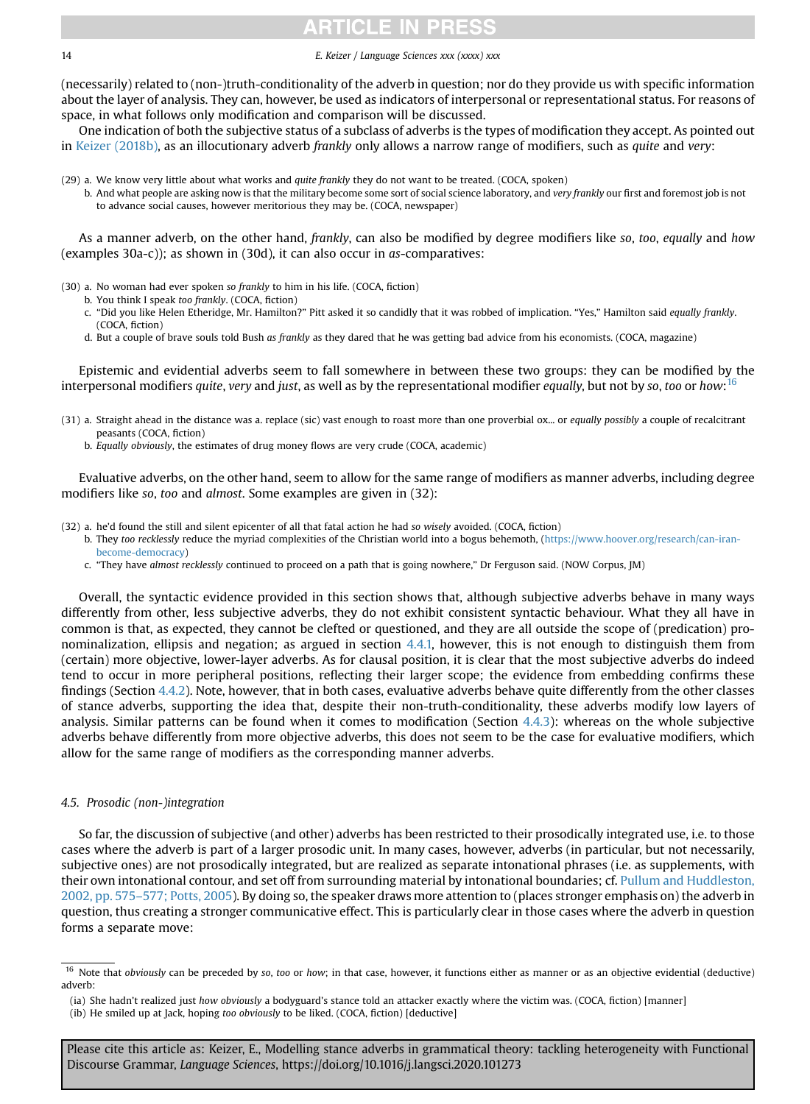# **CLE IN PRES**

### <span id="page-13-0"></span>14 E. Keizer / Language Sciences xxx (xxxx) xxx

(necessarily) related to (non-)truth-conditionality of the adverb in question; nor do they provide us with specific information about the layer of analysis. They can, however, be used as indicators of interpersonal or representational status. For reasons of space, in what follows only modification and comparison will be discussed.

One indication of both the subjective status of a subclass of adverbs is the types of modification they accept. As pointed out in [Keizer \(2018b\)](#page-18-0), as an illocutionary adverb frankly only allows a narrow range of modifiers, such as quite and very:

- (29) a. We know very little about what works and quite frankly they do not want to be treated. (COCA, spoken)
	- b. And what people are asking now is that the military become some sort of social science laboratory, and very frankly our first and foremost job is not to advance social causes, however meritorious they may be. (COCA, newspaper)

As a manner adverb, on the other hand, frankly, can also be modified by degree modifiers like so, too, equally and how (examples 30a-c)); as shown in (30d), it can also occur in as-comparatives:

- (30) a. No woman had ever spoken so frankly to him in his life. (COCA, fiction)
	- b. You think I speak too frankly. (COCA, fiction)
	- c. "Did you like Helen Etheridge, Mr. Hamilton?" Pitt asked it so candidly that it was robbed of implication. "Yes," Hamilton said equally frankly. (COCA, fiction)
	- d. But a couple of brave souls told Bush as frankly as they dared that he was getting bad advice from his economists. (COCA, magazine)

Epistemic and evidential adverbs seem to fall somewhere in between these two groups: they can be modified by the interpersonal modifiers *quite, very* and *just,* as well as by the representational modifier *equally,* but not by so, too or how: <sup>16</sup>

- (31) a. Straight ahead in the distance was a. replace (sic) vast enough to roast more than one proverbial ox... or equally possibly a couple of recalcitrant peasants (COCA, fiction)
	- b. Equally obviously, the estimates of drug money flows are very crude (COCA, academic)

Evaluative adverbs, on the other hand, seem to allow for the same range of modifiers as manner adverbs, including degree modifiers like so, too and almost. Some examples are given in (32):

- (32) a. he'd found the still and silent epicenter of all that fatal action he had so wisely avoided. (COCA, fiction)
	- b. They too recklessly reduce the myriad complexities of the Christian world into a bogus behemoth, [\(https://www.hoover.org/research/can-iran](https://www.hoover.org/research/can-iran-become-democracy)[become-democracy](https://www.hoover.org/research/can-iran-become-democracy))
		- c. "They have almost recklessly continued to proceed on a path that is going nowhere," Dr Ferguson said. (NOW Corpus, JM)

Overall, the syntactic evidence provided in this section shows that, although subjective adverbs behave in many ways differently from other, less subjective adverbs, they do not exhibit consistent syntactic behaviour. What they all have in common is that, as expected, they cannot be clefted or questioned, and they are all outside the scope of (predication) pronominalization, ellipsis and negation; as argued in section [4.4.1,](#page-10-0) however, this is not enough to distinguish them from (certain) more objective, lower-layer adverbs. As for clausal position, it is clear that the most subjective adverbs do indeed tend to occur in more peripheral positions, reflecting their larger scope; the evidence from embedding confirms these findings (Section [4.4.2\)](#page-11-0). Note, however, that in both cases, evaluative adverbs behave quite differently from the other classes of stance adverbs, supporting the idea that, despite their non-truth-conditionality, these adverbs modify low layers of analysis. Similar patterns can be found when it comes to modification (Section [4.4.3\)](#page-12-0): whereas on the whole subjective adverbs behave differently from more objective adverbs, this does not seem to be the case for evaluative modifiers, which allow for the same range of modifiers as the corresponding manner adverbs.

### 4.5. Prosodic (non-)integration

So far, the discussion of subjective (and other) adverbs has been restricted to their prosodically integrated use, i.e. to those cases where the adverb is part of a larger prosodic unit. In many cases, however, adverbs (in particular, but not necessarily, subjective ones) are not prosodically integrated, but are realized as separate intonational phrases (i.e. as supplements, with their own intonational contour, and set off from surrounding material by intonational boundaries; cf. [Pullum and Huddleston,](#page-19-0) 2002, pp. 575–[577; Potts, 2005](#page-19-0)). By doing so, the speaker draws more attention to (places stronger emphasis on) the adverb in question, thus creating a stronger communicative effect. This is particularly clear in those cases where the adverb in question forms a separate move:

<sup>&</sup>lt;sup>16</sup> Note that obviously can be preceded by so, too or how; in that case, however, it functions either as manner or as an objective evidential (deductive) adverb:

<sup>(</sup>ia) She hadn't realized just how obviously a bodyguard's stance told an attacker exactly where the victim was. (COCA, fiction) [manner]

<sup>(</sup>ib) He smiled up at Jack, hoping too obviously to be liked. (COCA, fiction) [deductive]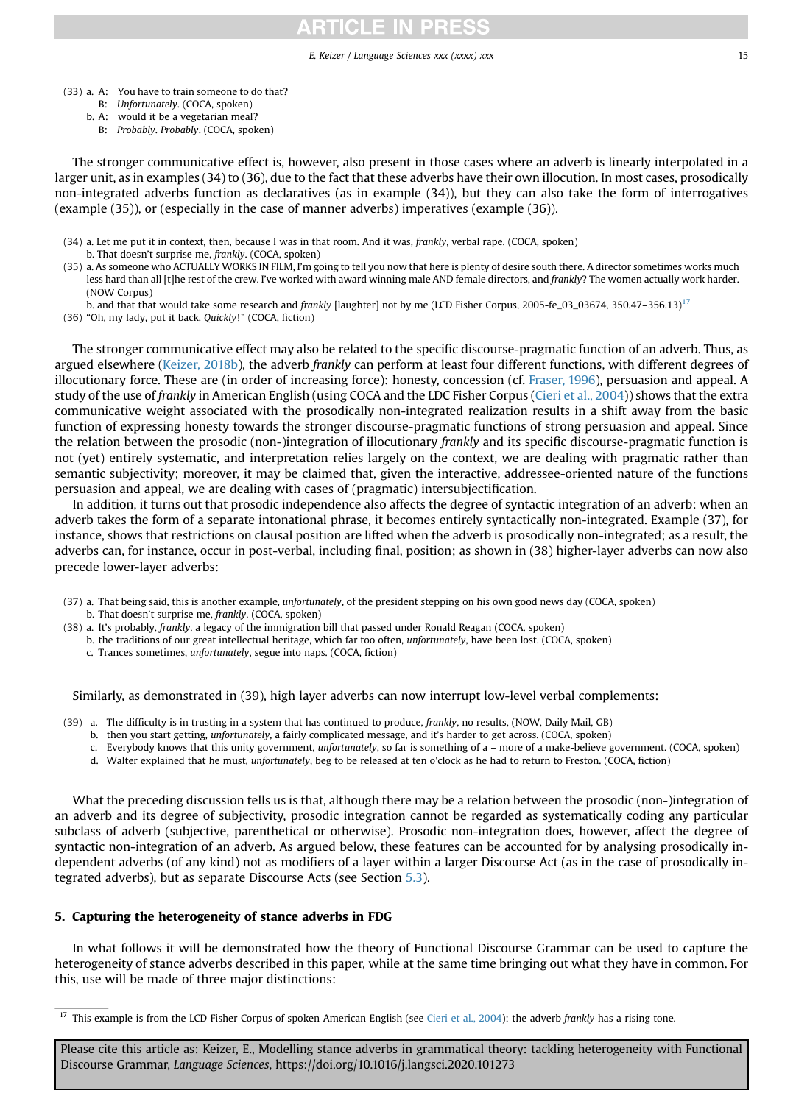# CI E I

- <span id="page-14-0"></span>B: Unfortunately. (COCA, spoken)
- b. A: would it be a vegetarian meal?
	- B: Probably. Probably. (COCA, spoken)

The stronger communicative effect is, however, also present in those cases where an adverb is linearly interpolated in a larger unit, as in examples (34) to (36), due to the fact that these adverbs have their own illocution. In most cases, prosodically non-integrated adverbs function as declaratives (as in example (34)), but they can also take the form of interrogatives (example (35)), or (especially in the case of manner adverbs) imperatives (example (36)).

- (34) a. Let me put it in context, then, because I was in that room. And it was, frankly, verbal rape. (COCA, spoken) b. That doesn't surprise me, frankly. (COCA, spoken)
- (35) a. As someone who ACTUALLY WORKS IN FILM, I'm going to tell you now that here is plenty of desire south there. A director sometimes works much less hard than all [t]he rest of the crew. I've worked with award winning male AND female directors, and frankly? The women actually work harder. (NOW Corpus)
- b. and that that would take some research and frankly [laughter] not by me (LCD Fisher Corpus, 2005-fe\_03\_03674, 350.47-356.13)<sup>17</sup>

(36) "Oh, my lady, put it back. Quickly!" (COCA, fiction)

The stronger communicative effect may also be related to the specific discourse-pragmatic function of an adverb. Thus, as argued elsewhere ([Keizer, 2018b\)](#page-18-0), the adverb frankly can perform at least four different functions, with different degrees of illocutionary force. These are (in order of increasing force): honesty, concession (cf. [Fraser, 1996](#page-18-0)), persuasion and appeal. A study of the use of frankly in American English (using COCA and the LDC Fisher Corpus ([Cieri et al., 2004\)](#page-18-0)) shows that the extra communicative weight associated with the prosodically non-integrated realization results in a shift away from the basic function of expressing honesty towards the stronger discourse-pragmatic functions of strong persuasion and appeal. Since the relation between the prosodic (non-)integration of illocutionary frankly and its specific discourse-pragmatic function is not (yet) entirely systematic, and interpretation relies largely on the context, we are dealing with pragmatic rather than semantic subjectivity; moreover, it may be claimed that, given the interactive, addressee-oriented nature of the functions persuasion and appeal, we are dealing with cases of (pragmatic) intersubjectification.

In addition, it turns out that prosodic independence also affects the degree of syntactic integration of an adverb: when an adverb takes the form of a separate intonational phrase, it becomes entirely syntactically non-integrated. Example (37), for instance, shows that restrictions on clausal position are lifted when the adverb is prosodically non-integrated; as a result, the adverbs can, for instance, occur in post-verbal, including final, position; as shown in (38) higher-layer adverbs can now also precede lower-layer adverbs:

- (37) a. That being said, this is another example, unfortunately, of the president stepping on his own good news day (COCA, spoken) b. That doesn't surprise me, frankly. (COCA, spoken)
- (38) a. It's probably, frankly, a legacy of the immigration bill that passed under Ronald Reagan (COCA, spoken)
	- b. the traditions of our great intellectual heritage, which far too often, unfortunately, have been lost. (COCA, spoken)
	- c. Trances sometimes, unfortunately, segue into naps. (COCA, fiction)

Similarly, as demonstrated in (39), high layer adverbs can now interrupt low-level verbal complements:

- (39) a. The difficulty is in trusting in a system that has continued to produce, frankly, no results, (NOW, Daily Mail, GB)
	- b. then you start getting, unfortunately, a fairly complicated message, and it's harder to get across. (COCA, spoken)
	- c. Everybody knows that this unity government, *unfortunately*, so far is something of a more of a make-believe government. (COCA, spoken)
	- d. Walter explained that he must, unfortunately, beg to be released at ten o'clock as he had to return to Freston. (COCA, fiction)

What the preceding discussion tells us is that, although there may be a relation between the prosodic (non-)integration of an adverb and its degree of subjectivity, prosodic integration cannot be regarded as systematically coding any particular subclass of adverb (subjective, parenthetical or otherwise). Prosodic non-integration does, however, affect the degree of syntactic non-integration of an adverb. As argued below, these features can be accounted for by analysing prosodically independent adverbs (of any kind) not as modifiers of a layer within a larger Discourse Act (as in the case of prosodically integrated adverbs), but as separate Discourse Acts (see Section [5.3](#page-16-0)).

### 5. Capturing the heterogeneity of stance adverbs in FDG

In what follows it will be demonstrated how the theory of Functional Discourse Grammar can be used to capture the heterogeneity of stance adverbs described in this paper, while at the same time bringing out what they have in common. For this, use will be made of three major distinctions:

 $17$  This example is from the LCD Fisher Corpus of spoken American English (see [Cieri et al., 2004](#page-18-0)); the adverb frankly has a rising tone.

Please cite this article as: Keizer, E., Modelling stance adverbs in grammatical theory: tackling heterogeneity with Functional Discourse Grammar, Language Sciences, https://doi.org/10.1016/j.langsci.2020.101273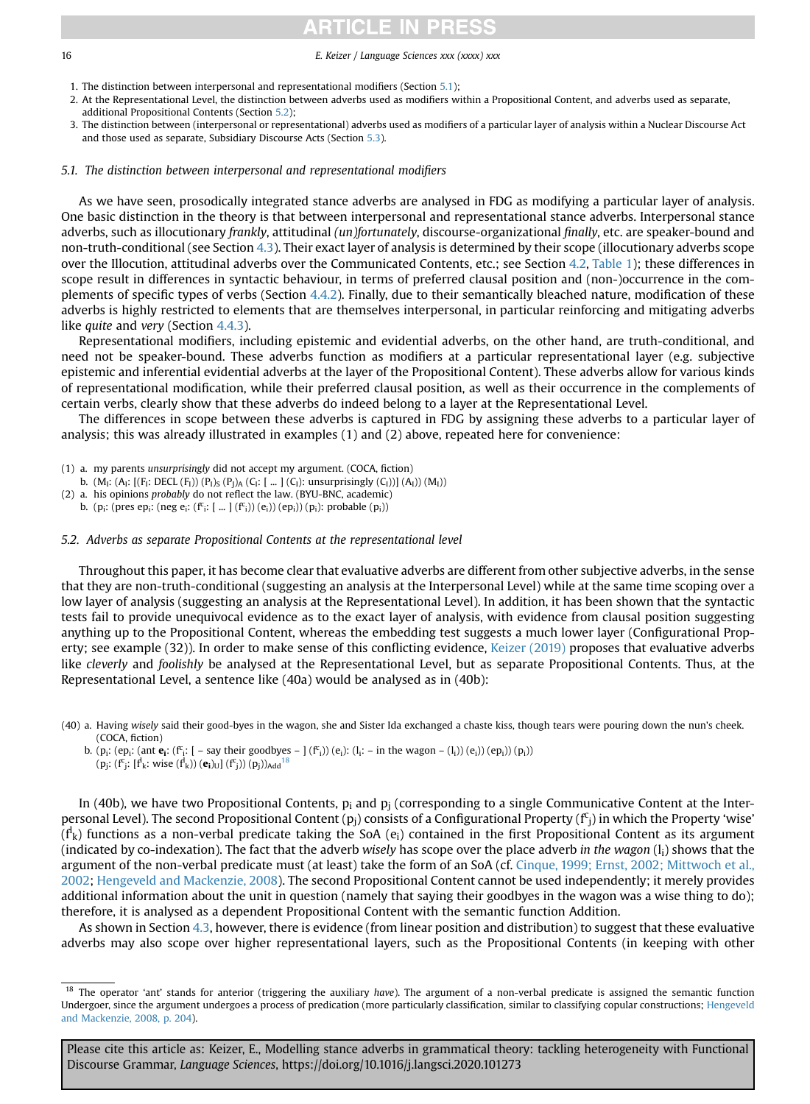### CI E IN

<span id="page-15-0"></span>16 E. Keizer / Language Sciences xxx (xxxx) xxx

- 1. The distinction between interpersonal and representational modifiers (Section 5.1);
- 2. At the Representational Level, the distinction between adverbs used as modifiers within a Propositional Content, and adverbs used as separate, additional Propositional Contents (Section 5.2);
- 3. The distinction between (interpersonal or representational) adverbs used as modifiers of a particular layer of analysis within a Nuclear Discourse Act and those used as separate, Subsidiary Discourse Acts (Section [5.3\)](#page-16-0).

### 5.1. The distinction between interpersonal and representational modifiers

As we have seen, prosodically integrated stance adverbs are analysed in FDG as modifying a particular layer of analysis. One basic distinction in the theory is that between interpersonal and representational stance adverbs. Interpersonal stance adverbs, such as illocutionary frankly, attitudinal (un)fortunately, discourse-organizational finally, etc. are speaker-bound and non-truth-conditional (see Section [4.3\)](#page-8-0). Their exact layer of analysis is determined by their scope (illocutionary adverbs scope over the Illocution, attitudinal adverbs over the Communicated Contents, etc.; see Section [4.2](#page-7-0), [Table 1](#page-7-0)); these differences in scope result in differences in syntactic behaviour, in terms of preferred clausal position and (non-)occurrence in the complements of specific types of verbs (Section [4.4.2\)](#page-11-0). Finally, due to their semantically bleached nature, modification of these adverbs is highly restricted to elements that are themselves interpersonal, in particular reinforcing and mitigating adverbs like quite and very (Section [4.4.3\)](#page-12-0).

Representational modifiers, including epistemic and evidential adverbs, on the other hand, are truth-conditional, and need not be speaker-bound. These adverbs function as modifiers at a particular representational layer (e.g. subjective epistemic and inferential evidential adverbs at the layer of the Propositional Content). These adverbs allow for various kinds of representational modification, while their preferred clausal position, as well as their occurrence in the complements of certain verbs, clearly show that these adverbs do indeed belong to a layer at the Representational Level.

The differences in scope between these adverbs is captured in FDG by assigning these adverbs to a particular layer of analysis; this was already illustrated in examples (1) and (2) above, repeated here for convenience:

- (1) a. my parents unsurprisingly did not accept my argument. (COCA, fiction)
- b.  $(M_1: (A_1: [(F_1: DECL (F_1)) (P_1)_S (P_1)_A (C_1: [\dots] (C_1)):$  unsurprisingly  $(C_1))] (A_1) (M_1)$
- (2) a. his opinions probably do not reflect the law. (BYU-BNC, academic)
	- b. ( $p_i$ : (pres e $p_i$ : (neg e<sub>i</sub>: (f<sup>c</sup><sub>i</sub>: [ ... ] (f<sup>c</sup><sub>i</sub>)) (e<sub>i</sub>)) (e $p_i$ )) ( $p_i$ ): probable ( $p_i$ ))

### 5.2. Adverbs as separate Propositional Contents at the representational level

Throughout this paper, it has become clear that evaluative adverbs are different from other subjective adverbs, in the sense that they are non-truth-conditional (suggesting an analysis at the Interpersonal Level) while at the same time scoping over a low layer of analysis (suggesting an analysis at the Representational Level). In addition, it has been shown that the syntactic tests fail to provide unequivocal evidence as to the exact layer of analysis, with evidence from clausal position suggesting anything up to the Propositional Content, whereas the embedding test suggests a much lower layer (Configurational Property; see example (32)). In order to make sense of this conflicting evidence, [Keizer \(2019\)](#page-18-0) proposes that evaluative adverbs like cleverly and foolishly be analysed at the Representational Level, but as separate Propositional Contents. Thus, at the Representational Level, a sentence like (40a) would be analysed as in (40b):

- (40) a. Having wisely said their good-byes in the wagon, she and Sister Ida exchanged a chaste kiss, though tears were pouring down the nun's cheek. (COCA, fiction)
	- b. (p<sub>i</sub>: (ep<sub>i</sub>: (ant  $e_i$ : (f<sup>c</sup><sub>i</sub>: [ say their goodbyes ] (f<sup>c</sup><sub>i</sub>)) (e<sub>i</sub>): (l<sub>i</sub>: in the wagon (l<sub>i</sub>)) (e<sub>i</sub>)) (e<sub>l</sub>)) (p<sub>i</sub>))
	- $(p_j: (f^c_j: [f^l_k: wise (f^l_k)) (e_i)_U] (f^c_j)) (p_j))_{Add}^{18}$

In (40b), we have two Propositional Contents,  $p_i$  and  $p_i$  (corresponding to a single Communicative Content at the Interpersonal Level). The second Propositional Content (p<sub>j</sub>) consists of a Configurational Property (f $^c_j$ ) in which the Property 'wise'  $({}^{\,d}_k)$  functions as a non-verbal predicate taking the SoA (e<sub>i</sub>) contained in the first Propositional Content as its argument (indicated by co-indexation). The fact that the adverb wisely has scope over the place adverb in the wagon  $(l_i)$  shows that the argument of the non-verbal predicate must (at least) take the form of an SoA (cf. [Cinque, 1999; Ernst, 2002; Mittwoch et al.,](#page-18-0) [2002](#page-18-0); [Hengeveld and Mackenzie, 2008\)](#page-18-0). The second Propositional Content cannot be used independently; it merely provides additional information about the unit in question (namely that saying their goodbyes in the wagon was a wise thing to do); therefore, it is analysed as a dependent Propositional Content with the semantic function Addition.

As shown in Section [4.3,](#page-8-0) however, there is evidence (from linear position and distribution) to suggest that these evaluative adverbs may also scope over higher representational layers, such as the Propositional Contents (in keeping with other

<sup>&</sup>lt;sup>18</sup> The operator 'ant' stands for anterior (triggering the auxiliary have). The argument of a non-verbal predicate is assigned the semantic function Undergoer, since the argument undergoes a process of predication (more particularly classification, similar to classifying copular constructions; [Hengeveld](#page-18-0) [and Mackenzie, 2008, p. 204\)](#page-18-0).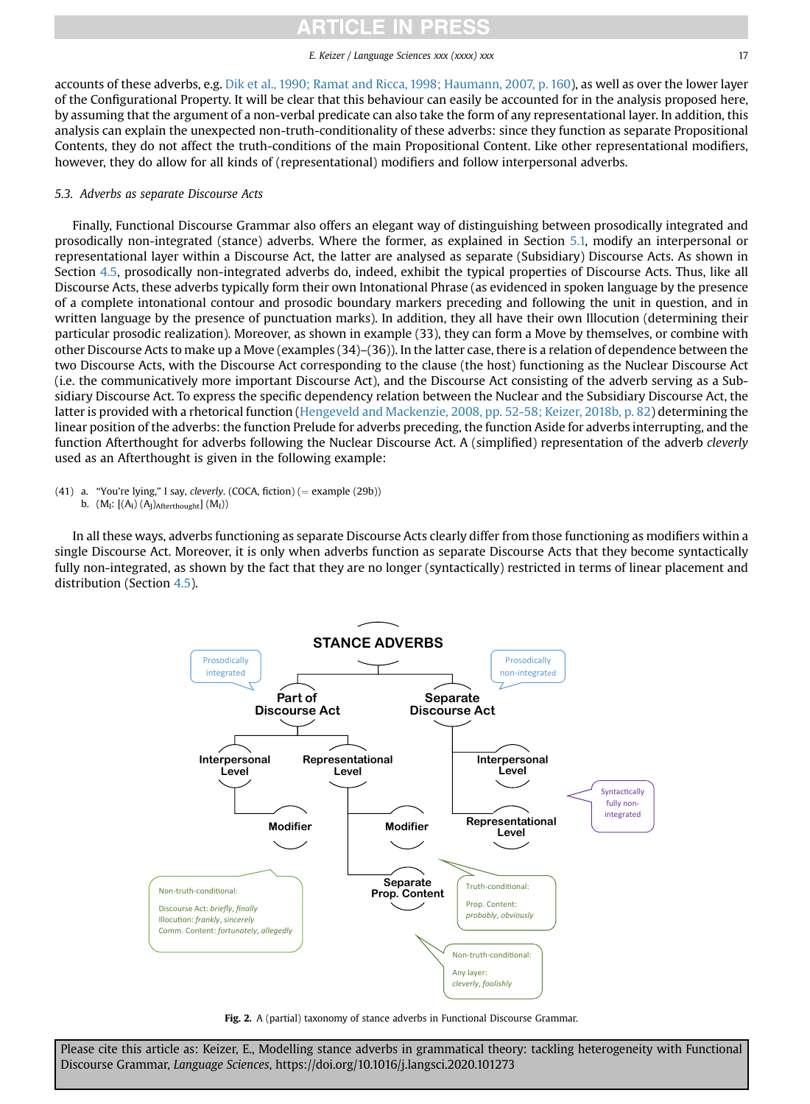#### ICI E I IN PRFS

### E. Keizer / Language Sciences xxx (xxxx) xxx 17

<span id="page-16-0"></span>accounts of these adverbs, e.g. [Dik et al., 1990; Ramat and Ricca, 1998; Haumann, 2007, p. 160\)](#page-18-0), as well as over the lower layer of the Configurational Property. It will be clear that this behaviour can easily be accounted for in the analysis proposed here, by assuming that the argument of a non-verbal predicate can also take the form of any representational layer. In addition, this analysis can explain the unexpected non-truth-conditionality of these adverbs: since they function as separate Propositional Contents, they do not affect the truth-conditions of the main Propositional Content. Like other representational modifiers, however, they do allow for all kinds of (representational) modifiers and follow interpersonal adverbs.

### 5.3. Adverbs as separate Discourse Acts

Finally, Functional Discourse Grammar also offers an elegant way of distinguishing between prosodically integrated and prosodically non-integrated (stance) adverbs. Where the former, as explained in Section [5.1,](#page-15-0) modify an interpersonal or representational layer within a Discourse Act, the latter are analysed as separate (Subsidiary) Discourse Acts. As shown in Section [4.5,](#page-13-0) prosodically non-integrated adverbs do, indeed, exhibit the typical properties of Discourse Acts. Thus, like all Discourse Acts, these adverbs typically form their own Intonational Phrase (as evidenced in spoken language by the presence of a complete intonational contour and prosodic boundary markers preceding and following the unit in question, and in written language by the presence of punctuation marks). In addition, they all have their own Illocution (determining their particular prosodic realization). Moreover, as shown in example (33), they can form a Move by themselves, or combine with other Discourse Acts to make up a Move (examples (34)–(36)). In the latter case, there is a relation of dependence between the two Discourse Acts, with the Discourse Act corresponding to the clause (the host) functioning as the Nuclear Discourse Act (i.e. the communicatively more important Discourse Act), and the Discourse Act consisting of the adverb serving as a Subsidiary Discourse Act. To express the specific dependency relation between the Nuclear and the Subsidiary Discourse Act, the latter is provided with a rhetorical function ([Hengeveld and Mackenzie, 2008, pp. 52-58; Keizer, 2018b, p. 82\)](#page-18-0) determining the linear position of the adverbs: the function Prelude for adverbs preceding, the function Aside for adverbs interrupting, and the function Afterthought for adverbs following the Nuclear Discourse Act. A (simplified) representation of the adverb cleverly used as an Afterthought is given in the following example:

b.  $(M_I: [(A_I) (A_J)_{Afterthought}] (M_I))$ 

In all these ways, adverbs functioning as separate Discourse Acts clearly differ from those functioning as modifiers within a single Discourse Act. Moreover, it is only when adverbs function as separate Discourse Acts that they become syntactically fully non-integrated, as shown by the fact that they are no longer (syntactically) restricted in terms of linear placement and distribution (Section [4.5](#page-13-0)).



Fig. 2. A (partial) taxonomy of stance adverbs in Functional Discourse Grammar.

<sup>(41)</sup> a. "You're lying," I say, cleverly. (COCA, fiction) (= example  $(29b)$ )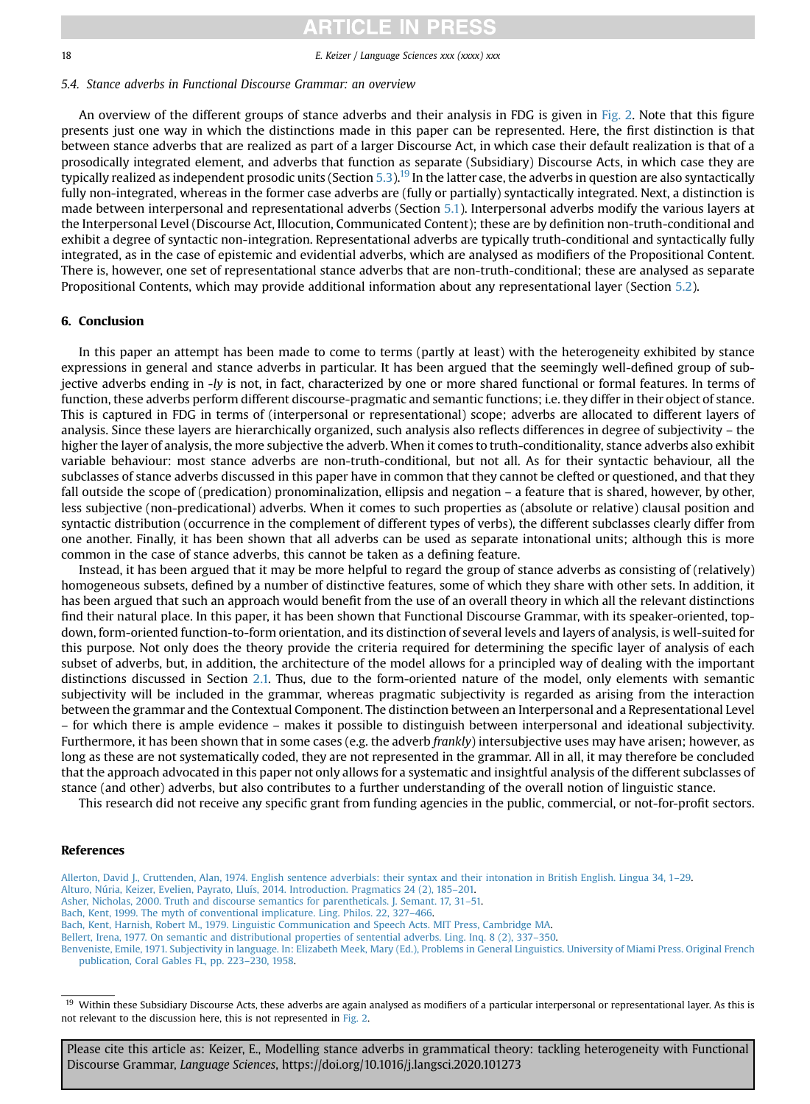### CLE IN

<span id="page-17-0"></span>18 E. Keizer / Language Sciences xxx (xxxx) xxx

### 5.4. Stance adverbs in Functional Discourse Grammar: an overview

An overview of the different groups of stance adverbs and their analysis in FDG is given in [Fig. 2](#page-16-0). Note that this figure presents just one way in which the distinctions made in this paper can be represented. Here, the first distinction is that between stance adverbs that are realized as part of a larger Discourse Act, in which case their default realization is that of a prosodically integrated element, and adverbs that function as separate (Subsidiary) Discourse Acts, in which case they are typically realized as independent prosodic units (Section [5.3](#page-16-0)).<sup>19</sup> In the latter case, the adverbs in question are also syntactically fully non-integrated, whereas in the former case adverbs are (fully or partially) syntactically integrated. Next, a distinction is made between interpersonal and representational adverbs (Section [5.1](#page-15-0)). Interpersonal adverbs modify the various layers at the Interpersonal Level (Discourse Act, Illocution, Communicated Content); these are by definition non-truth-conditional and exhibit a degree of syntactic non-integration. Representational adverbs are typically truth-conditional and syntactically fully integrated, as in the case of epistemic and evidential adverbs, which are analysed as modifiers of the Propositional Content. There is, however, one set of representational stance adverbs that are non-truth-conditional; these are analysed as separate Propositional Contents, which may provide additional information about any representational layer (Section [5.2](#page-15-0)).

### 6. Conclusion

In this paper an attempt has been made to come to terms (partly at least) with the heterogeneity exhibited by stance expressions in general and stance adverbs in particular. It has been argued that the seemingly well-defined group of subjective adverbs ending in -ly is not, in fact, characterized by one or more shared functional or formal features. In terms of function, these adverbs perform different discourse-pragmatic and semantic functions; i.e. they differ in their object of stance. This is captured in FDG in terms of (interpersonal or representational) scope; adverbs are allocated to different layers of analysis. Since these layers are hierarchically organized, such analysis also reflects differences in degree of subjectivity – the higher the layer of analysis, the more subjective the adverb. When it comes to truth-conditionality, stance adverbs also exhibit variable behaviour: most stance adverbs are non-truth-conditional, but not all. As for their syntactic behaviour, all the subclasses of stance adverbs discussed in this paper have in common that they cannot be clefted or questioned, and that they fall outside the scope of (predication) pronominalization, ellipsis and negation – a feature that is shared, however, by other, less subjective (non-predicational) adverbs. When it comes to such properties as (absolute or relative) clausal position and syntactic distribution (occurrence in the complement of different types of verbs), the different subclasses clearly differ from one another. Finally, it has been shown that all adverbs can be used as separate intonational units; although this is more common in the case of stance adverbs, this cannot be taken as a defining feature.

Instead, it has been argued that it may be more helpful to regard the group of stance adverbs as consisting of (relatively) homogeneous subsets, defined by a number of distinctive features, some of which they share with other sets. In addition, it has been argued that such an approach would benefit from the use of an overall theory in which all the relevant distinctions find their natural place. In this paper, it has been shown that Functional Discourse Grammar, with its speaker-oriented, topdown, form-oriented function-to-form orientation, and its distinction of several levels and layers of analysis, is well-suited for this purpose. Not only does the theory provide the criteria required for determining the specific layer of analysis of each subset of adverbs, but, in addition, the architecture of the model allows for a principled way of dealing with the important distinctions discussed in Section [2.1.](#page-1-0) Thus, due to the form-oriented nature of the model, only elements with semantic subjectivity will be included in the grammar, whereas pragmatic subjectivity is regarded as arising from the interaction between the grammar and the Contextual Component. The distinction between an Interpersonal and a Representational Level – for which there is ample evidence – makes it possible to distinguish between interpersonal and ideational subjectivity. Furthermore, it has been shown that in some cases (e.g. the adverb frankly) intersubjective uses may have arisen; however, as long as these are not systematically coded, they are not represented in the grammar. All in all, it may therefore be concluded that the approach advocated in this paper not only allows for a systematic and insightful analysis of the different subclasses of stance (and other) adverbs, but also contributes to a further understanding of the overall notion of linguistic stance.

This research did not receive any specific grant from funding agencies in the public, commercial, or not-for-profit sectors.

### References

| Allerton, David J., Cruttenden, Alan, 1974. English sentence adverbials: their syntax and their intonation in British English, Lingua 34, 1–29.                                                                    |
|--------------------------------------------------------------------------------------------------------------------------------------------------------------------------------------------------------------------|
| Alturo, Núria, Keizer, Evelien, Payrato, Lluís, 2014, Introduction, Pragmatics 24 (2), 185–201.                                                                                                                    |
| Asher, Nicholas, 2000. Truth and discourse semantics for parentheticals. J. Semant. 17, 31–51.                                                                                                                     |
| Bach, Kent, 1999. The myth of conventional implicature. Ling. Philos. 22, 327–466.                                                                                                                                 |
| Bach, Kent, Harnish, Robert M., 1979. Linguistic Communication and Speech Acts. MIT Press, Cambridge MA.                                                                                                           |
| Bellert, Irena, 1977. On semantic and distributional properties of sentential adverbs. Ling. Inq. 8 (2), 337–350.                                                                                                  |
| Benveniste, Emile, 1971. Subjectivity in language. In: Elizabeth Meek, Mary (Ed.), Problems in General Linguistics. University of Miami Press. Original French<br>publication. Coral Gables FL, pp. 223-230, 1958. |
|                                                                                                                                                                                                                    |

<sup>19</sup> Within these Subsidiary Discourse Acts, these adverbs are again analysed as modifiers of a particular interpersonal or representational layer. As this is not relevant to the discussion here, this is not represented in [Fig. 2](#page-16-0).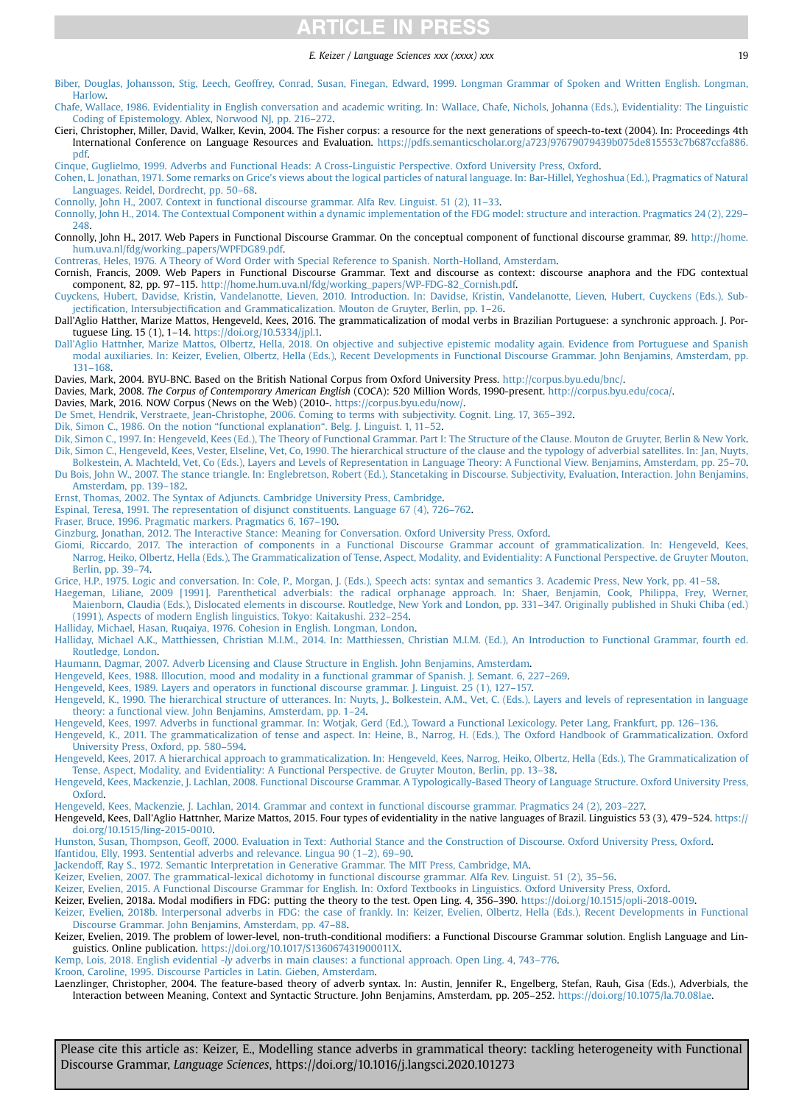# **TICLE IN PRESS**

### E. Keizer / Language Sciences xxx (xxxx) xxx 19 19

<span id="page-18-0"></span>[Biber, Douglas, Johansson, Stig, Leech, Geoffrey, Conrad, Susan, Finegan, Edward, 1999. Longman Grammar of Spoken and Written English. Longman,](http://refhub.elsevier.com/S0388-0001(20)30005-X/sref8) [Harlow.](http://refhub.elsevier.com/S0388-0001(20)30005-X/sref8)

- [Chafe, Wallace, 1986. Evidentiality in English conversation and academic writing. In: Wallace, Chafe, Nichols, Johanna \(Eds.\), Evidentiality: The Linguistic](http://refhub.elsevier.com/S0388-0001(20)30005-X/sref10) [Coding of Epistemology. Ablex, Norwood NJ, pp. 216](http://refhub.elsevier.com/S0388-0001(20)30005-X/sref10)–272.
- Cieri, Christopher, Miller, David, Walker, Kevin, 2004. The Fisher corpus: a resource for the next generations of speech-to-text (2004). In: Proceedings 4th International Conference on Language Resources and Evaluation. [https://pdfs.semanticscholar.org/a723/97679079439b075de815553c7b687ccfa886.](https://pdfs.semanticscholar.org/a723/97679079439b075de815553c7b687ccfa886.pdf) [pdf.](https://pdfs.semanticscholar.org/a723/97679079439b075de815553c7b687ccfa886.pdf)

[Cinque, Guglielmo, 1999. Adverbs and Functional Heads: A Cross-Linguistic Perspective. Oxford University Press, Oxford.](http://refhub.elsevier.com/S0388-0001(20)30005-X/sref12)

[Cohen, L. Jonathan, 1971. Some remarks on Grice's views about the logical particles of natural language. In: Bar-Hillel, Yeghoshua \(Ed.\), Pragmatics of Natural](http://refhub.elsevier.com/S0388-0001(20)30005-X/sref13) [Languages. Reidel, Dordrecht, pp. 50](http://refhub.elsevier.com/S0388-0001(20)30005-X/sref13)–68.

[Connolly, John H., 2007. Context in functional discourse grammar. Alfa Rev. Linguist. 51 \(2\), 11](http://refhub.elsevier.com/S0388-0001(20)30005-X/sref14)–33.

- [Connolly, John H., 2014. The Contextual Component within a dynamic implementation of the FDG model: structure and interaction. Pragmatics 24 \(2\), 229](http://refhub.elsevier.com/S0388-0001(20)30005-X/sref15) [248](http://refhub.elsevier.com/S0388-0001(20)30005-X/sref15).
- Connolly, John H., 2017. Web Papers in Functional Discourse Grammar. On the conceptual component of functional discourse grammar, 89. [http://home.](http://home.hum.uva.nl/fdg/working_papers/WPFDG89.pdf) [hum.uva.nl/fdg/working\\_papers/WPFDG89.pdf](http://home.hum.uva.nl/fdg/working_papers/WPFDG89.pdf).

[Contreras, Heles, 1976. A Theory of Word Order with Special Reference to Spanish. North-Holland, Amsterdam](http://refhub.elsevier.com/S0388-0001(20)30005-X/sref17).

- Cornish, Francis, 2009. Web Papers in Functional Discourse Grammar. Text and discourse as context: discourse anaphora and the FDG contextual component, 82, pp. 97–115. [http://home.hum.uva.nl/fdg/working\\_papers/WP-FDG-82\\_Cornish.pdf.](http://home.hum.uva.nl/fdg/working_papers/WP-FDG-82_Cornish.pdf)
- [Cuyckens, Hubert, Davidse, Kristin, Vandelanotte, Lieven, 2010. Introduction. In: Davidse, Kristin, Vandelanotte, Lieven, Hubert, Cuyckens \(Eds.\), Sub](http://refhub.elsevier.com/S0388-0001(20)30005-X/sref21)jectification, Intersubjectifi[cation and Grammaticalization. Mouton de Gruyter, Berlin, pp. 1](http://refhub.elsevier.com/S0388-0001(20)30005-X/sref21)–26.
- Dall'Aglio Hatther, Marize Mattos, Hengeveld, Kees, 2016. The grammaticalization of modal verbs in Brazilian Portuguese: a synchronic approach. J. Portuguese Ling. 15 (1), 1–14. [https://doi.org/10.5334/jpl.1.](https://doi.org/10.5334/jpl.1)
- [Dall'Aglio Hattnher, Marize Mattos, Olbertz, Hella, 2018. On objective and subjective epistemic modality again. Evidence from Portuguese and Spanish](http://refhub.elsevier.com/S0388-0001(20)30005-X/sref23) [modal auxiliaries. In: Keizer, Evelien, Olbertz, Hella \(Eds.\), Recent Developments in Functional Discourse Grammar. John Benjamins, Amsterdam, pp.](http://refhub.elsevier.com/S0388-0001(20)30005-X/sref23) 131–[168](http://refhub.elsevier.com/S0388-0001(20)30005-X/sref23).
- Davies, Mark, 2004. BYU-BNC. Based on the British National Corpus from Oxford University Press. [http://corpus.byu.edu/bnc/.](http://corpus.byu.edu/bnc/)
- Davies, Mark, 2008. The Corpus of Contemporary American English (COCA): 520 Million Words, 1990-present. <http://corpus.byu.edu/coca/>.
- Davies, Mark, 2016. NOW Corpus (News on the Web) (2010-. <https://corpus.byu.edu/now/>.

[De Smet, Hendrik, Verstraete, Jean-Christophe, 2006. Coming to terms with subjectivity. Cognit. Ling. 17, 365](http://refhub.elsevier.com/S0388-0001(20)30005-X/sref27)–392.

[Dik, Simon C., 1986. On the notion](http://refhub.elsevier.com/S0388-0001(20)30005-X/sref28) "functional explanation". Belg. J. Linguist. 1, 11–52.

- [Dik, Simon C., 1997. In: Hengeveld, Kees \(Ed.\), The Theory of Functional Grammar. Part I: The Structure of the Clause. Mouton de Gruyter, Berlin & New York.](http://refhub.elsevier.com/S0388-0001(20)30005-X/sref29) [Dik, Simon C., Hengeveld, Kees, Vester, Elseline, Vet, Co, 1990. The hierarchical structure of the clause and the typology of adverbial satellites. In: Jan, Nuyts,](http://refhub.elsevier.com/S0388-0001(20)30005-X/sref30) [Bolkestein, A. Machteld, Vet, Co \(Eds.\), Layers and Levels of Representation in Language Theory: A Functional View. Benjamins, Amsterdam, pp. 25](http://refhub.elsevier.com/S0388-0001(20)30005-X/sref30)–70.
- [Du Bois, John W., 2007. The stance triangle. In: Englebretson, Robert \(Ed.\), Stancetaking in Discourse. Subjectivity, Evaluation, Interaction. John Benjamins,](http://refhub.elsevier.com/S0388-0001(20)30005-X/sref31) [Amsterdam, pp. 139](http://refhub.elsevier.com/S0388-0001(20)30005-X/sref31)–182.
- [Ernst, Thomas, 2002. The Syntax of Adjuncts. Cambridge University Press, Cambridge](http://refhub.elsevier.com/S0388-0001(20)30005-X/sref32).
- [Espinal, Teresa, 1991. The representation of disjunct constituents. Language 67 \(4\), 726](http://refhub.elsevier.com/S0388-0001(20)30005-X/sref33)–762.
- [Fraser, Bruce, 1996. Pragmatic markers. Pragmatics 6, 167](http://refhub.elsevier.com/S0388-0001(20)30005-X/sref34)–190.
- [Ginzburg, Jonathan, 2012. The Interactive Stance: Meaning for Conversation. Oxford University Press, Oxford](http://refhub.elsevier.com/S0388-0001(20)30005-X/sref35).
- [Giomi, Riccardo, 2017. The interaction of components in a Functional Discourse Grammar account of grammaticalization. In: Hengeveld, Kees,](http://refhub.elsevier.com/S0388-0001(20)30005-X/sref36) [Narrog, Heiko, Olbertz, Hella \(Eds.\), The Grammaticalization of Tense, Aspect, Modality, and Evidentiality: A Functional Perspective. de Gruyter](http://refhub.elsevier.com/S0388-0001(20)30005-X/sref36) Mouton, [Berlin, pp. 39](http://refhub.elsevier.com/S0388-0001(20)30005-X/sref36)–74.
- [Grice, H.P., 1975. Logic and conversation. In: Cole, P., Morgan, J. \(Eds.\), Speech acts: syntax and semantics 3. Academic Press, New York, pp. 41](http://refhub.elsevier.com/S0388-0001(20)30005-X/optDKEfUJ2NSw)–58.
- [Haegeman, Liliane, 2009 \[1991\]. Parenthetical adverbials: the radical orphanage approach. In: Shaer, Benjamin, Cook, Philippa, Frey, Werner,](http://refhub.elsevier.com/S0388-0001(20)30005-X/sref37) [Maienborn, Claudia \(Eds.\), Dislocated elements in discourse. Routledge, New York and London, pp. 331](http://refhub.elsevier.com/S0388-0001(20)30005-X/sref37)–347. Originally published in Shuki Chiba (ed.) [\(1991\), Aspects of modern English linguistics, Tokyo: Kaitakushi. 232](http://refhub.elsevier.com/S0388-0001(20)30005-X/sref37)–254.
- [Halliday, Michael, Hasan, Ruqaiya, 1976. Cohesion in English. Longman, London.](http://refhub.elsevier.com/S0388-0001(20)30005-X/sref38)
- [Halliday, Michael A.K., Matthiessen, Christian M.I.M., 2014. In: Matthiessen, Christian M.I.M. \(Ed.\), An Introduction to Functional Grammar, fourth ed.](http://refhub.elsevier.com/S0388-0001(20)30005-X/sref39) [Routledge, London.](http://refhub.elsevier.com/S0388-0001(20)30005-X/sref39)
- [Haumann, Dagmar, 2007. Adverb Licensing and Clause Structure in English. John Benjamins, Amsterdam](http://refhub.elsevier.com/S0388-0001(20)30005-X/sref40).
- [Hengeveld, Kees, 1988. Illocution, mood and modality in a functional grammar of Spanish. J. Semant. 6, 227](http://refhub.elsevier.com/S0388-0001(20)30005-X/sref41)–269.
- [Hengeveld, Kees, 1989. Layers and operators in functional discourse grammar. J. Linguist. 25 \(1\), 127](http://refhub.elsevier.com/S0388-0001(20)30005-X/sref42)–157.
- [Hengeveld, K., 1990. The hierarchical structure of utterances. In: Nuyts, J., Bolkestein, A.M., Vet, C. \(Eds.\), Layers and levels of representation](http://refhub.elsevier.com/S0388-0001(20)30005-X/optEwJshZuMub) in language [theory: a functional view. John Benjamins, Amsterdam, pp. 1](http://refhub.elsevier.com/S0388-0001(20)30005-X/optEwJshZuMub)–24.
- [Hengeveld, Kees, 1997. Adverbs in functional grammar. In: Wotjak, Gerd \(Ed.\), Toward a Functional Lexicology. Peter Lang, Frankfurt, pp. 126](http://refhub.elsevier.com/S0388-0001(20)30005-X/sref43)–136.
- [Hengeveld, K., 2011. The grammaticalization of tense and aspect. In: Heine, B., Narrog, H. \(Eds.\), The Oxford Handbook of Grammaticalization. Oxford](http://refhub.elsevier.com/S0388-0001(20)30005-X/optVYfibnI9w7) [University Press, Oxford, pp. 580](http://refhub.elsevier.com/S0388-0001(20)30005-X/optVYfibnI9w7)–594.
- [Hengeveld, Kees, 2017. A hierarchical approach to grammaticalization. In: Hengeveld, Kees, Narrog, Heiko, Olbertz, Hella \(Eds.\), The Grammaticalization of](http://refhub.elsevier.com/S0388-0001(20)30005-X/sref44) [Tense, Aspect, Modality, and Evidentiality: A Functional Perspective. de Gruyter Mouton, Berlin, pp. 13](http://refhub.elsevier.com/S0388-0001(20)30005-X/sref44)–38.
- [Hengeveld, Kees, Mackenzie, J. Lachlan, 2008. Functional Discourse Grammar. A Typologically-Based Theory of Language Structure. Oxford University Press,](http://refhub.elsevier.com/S0388-0001(20)30005-X/sref45) [Oxford.](http://refhub.elsevier.com/S0388-0001(20)30005-X/sref45)
- [Hengeveld, Kees, Mackenzie, J. Lachlan, 2014. Grammar and context in functional discourse grammar. Pragmatics 24 \(2\), 203](http://refhub.elsevier.com/S0388-0001(20)30005-X/sref46)–227.
- Hengeveld, Kees, Dall'Aglio Hattnher, Marize Mattos, 2015. Four types of evidentiality in the native languages of Brazil. Linguistics 53 (3), 479-524. [https://](https://doi.org/10.1515/ling-2015-0010) [doi.org/10.1515/ling-2015-0010.](https://doi.org/10.1515/ling-2015-0010)
- [Hunston, Susan, Thompson, Geoff, 2000. Evaluation in Text: Authorial Stance and the Construction of Discourse. Oxford University Press, Oxford](http://refhub.elsevier.com/S0388-0001(20)30005-X/sref48).
- [Ifantidou, Elly, 1993. Sentential adverbs and relevance. Lingua 90 \(1](http://refhub.elsevier.com/S0388-0001(20)30005-X/sref49)–2), 69–90.
- [Jackendoff, Ray S., 1972. Semantic Interpretation in Generative Grammar. The MIT Press, Cambridge, MA](http://refhub.elsevier.com/S0388-0001(20)30005-X/sref50).
- [Keizer, Evelien, 2007. The grammatical-lexical dichotomy in functional discourse grammar. Alfa Rev. Linguist. 51 \(2\), 35](http://refhub.elsevier.com/S0388-0001(20)30005-X/sref51)–56.
- [Keizer, Evelien, 2015. A Functional Discourse Grammar for English. In: Oxford Textbooks in Linguistics. Oxford University Press, Oxford](http://refhub.elsevier.com/S0388-0001(20)30005-X/sref52).
- Keizer, Evelien, 2018a. Modal modifiers in FDG: putting the theory to the test. Open Ling. 4, 356–390. [https://doi.org/10.1515/opli-2018-0019.](https://doi.org/10.1515/opli-2018-0019)
- [Keizer, Evelien, 2018b. Interpersonal adverbs in FDG: the case of frankly. In: Keizer, Evelien, Olbertz, Hella \(Eds.\), Recent Developments in Functional](http://refhub.elsevier.com/S0388-0001(20)30005-X/sref54) [Discourse Grammar. John Benjamins, Amsterdam, pp. 47](http://refhub.elsevier.com/S0388-0001(20)30005-X/sref54)–88.
- Keizer, Evelien, 2019. The problem of lower-level, non-truth-conditional modifiers: a Functional Discourse Grammar solution. English Language and Linguistics. Online publication. <https://doi.org/10.1017/S136067431900011X>.
- Kemp, Lois, 2018. English evidential -ly [adverbs in main clauses: a functional approach. Open Ling. 4, 743](http://refhub.elsevier.com/S0388-0001(20)30005-X/sref57)–776.

### [Kroon, Caroline, 1995. Discourse Particles in Latin. Gieben, Amsterdam.](http://refhub.elsevier.com/S0388-0001(20)30005-X/sref58)

Laenzlinger, Christopher, 2004. The feature-based theory of adverb syntax. In: Austin, Jennifer R., Engelberg, Stefan, Rauh, Gisa (Eds.), Adverbials, the Interaction between Meaning, Context and Syntactic Structure. John Benjamins, Amsterdam, pp. 205–252. <https://doi.org/10.1075/la.70.08lae>.